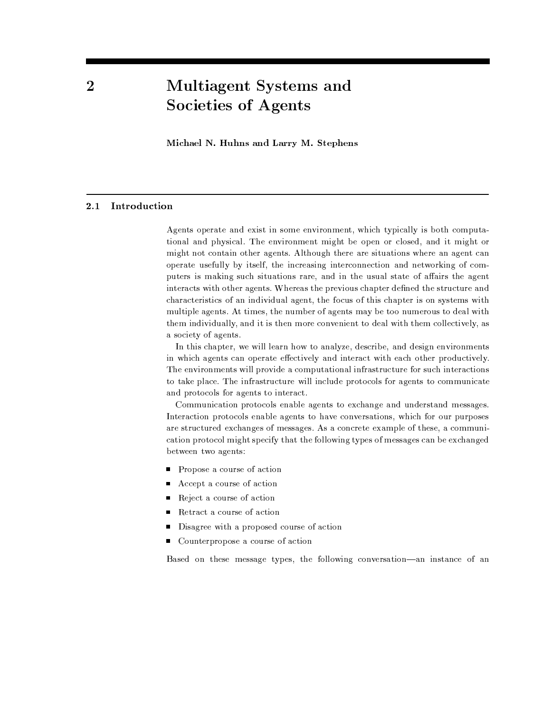# **Multiagent Systems and Societies of Agents**

Michael N. Huhns and Larry M. Stephens

### $2.1$ Introduction

Agents operate and exist in some environment, which typically is both computational and physical. The environment might be open or closed, and it might or might not contain other agents. Although there are situations where an agent can operate usefully by itself, the increasing interconnection and networking of computers is making such situations rare, and in the usual state of affairs the agent interacts with other agents. Whereas the previous chapter defined the structure and characteristics of an individual agent, the focus of this chapter is on systems with multiple agents. At times, the number of agents may be too numerous to deal with them individually, and it is then more convenient to deal with them collectively, as a society of agents.

In this chapter, we will learn how to analyze, describe, and design environments in which agents can operate effectively and interact with each other productively. The environments will provide a computational infrastructure for such interactions to take place. The infrastructure will include protocols for agents to communicate and protocols for agents to interact.

Communication protocols enable agents to exchange and understand messages. Interaction protocols enable agents to have conversations, which for our purposes are structured exchanges of messages. As a concrete example of these, a communication protocol might specify that the following types of messages can be exchanged between two agents:

- Propose a course of action  $\blacksquare$
- Accept a course of action Е
- Reject a course of action
- Retract a course of action  $\blacksquare$
- Disagree with a proposed course of action
- Counterpropose a course of action  $\blacksquare$

Based on these message types, the following conversation—an instance of an

 $\overline{2}$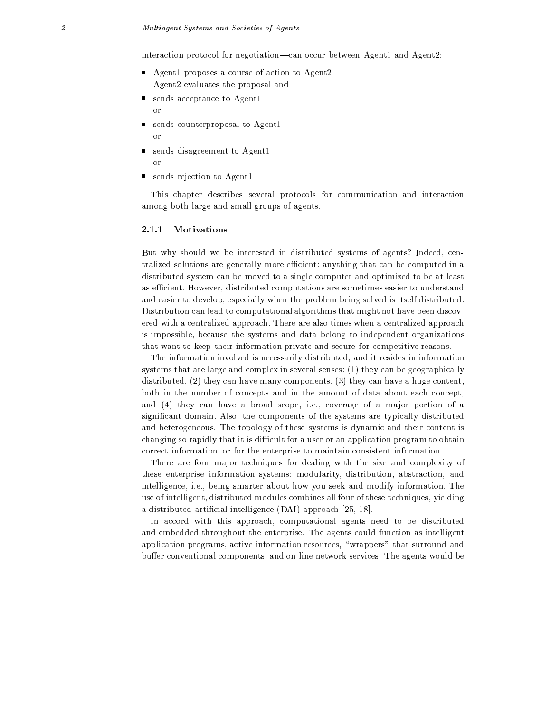interaction protocol for negotiation—can occur between Agent1 and Agent2:

- Agent1 proposes a course of action to Agent2 Agent2 evaluates the proposal and
- $\blacksquare$  sends acceptance to Agent1  $\Omega$ <sup>r</sup>
- sends counterproposal to Agent1  $\blacksquare$ or
- $\blacksquare$  sends disagreement to Agent1  $\cap$ r
- $\blacksquare$  sends rejection to Agent1

This chapter describes several protocols for communication and interaction among both large and small groups of agents.

### Motivations 2.1.1

But why should we be interested in distributed systems of agents? Indeed, centralized solutions are generally more efficient: anything that can be computed in a distributed system can be moved to a single computer and optimized to be at least as efficient. However, distributed computations are sometimes easier to understand and easier to develop, especially when the problem being solved is itself distributed. Distribution can lead to computational algorithms that might not have been discovered with a centralized approach. There are also times when a centralized approach is impossible, because the systems and data belong to independent organizations that want to keep their information private and secure for competitive reasons.

The information involved is necessarily distributed, and it resides in information systems that are large and complex in several senses: (1) they can be geographically distributed,  $(2)$  they can have many components,  $(3)$  they can have a huge content, both in the number of concepts and in the amount of data about each concept. and (4) they can have a broad scope, i.e., coverage of a major portion of a significant domain. Also, the components of the systems are typically distributed and heterogeneous. The topology of these systems is dynamic and their content is changing so rapidly that it is difficult for a user or an application program to obtain correct information, or for the enterprise to maintain consistent information.

There are four major techniques for dealing with the size and complexity of these enterprise information systems: modularity, distribution, abstraction, and intelligence, i.e., being smarter about how you seek and modify information. The use of intelligent, distributed modules combines all four of these techniques, yielding a distributed artificial intelligence (DAI) approach [25, 18].

In accord with this approach, computational agents need to be distributed and embedded throughout the enterprise. The agents could function as intelligent application programs, active information resources, "wrappers" that surround and buffer conventional components, and on-line network services. The agents would be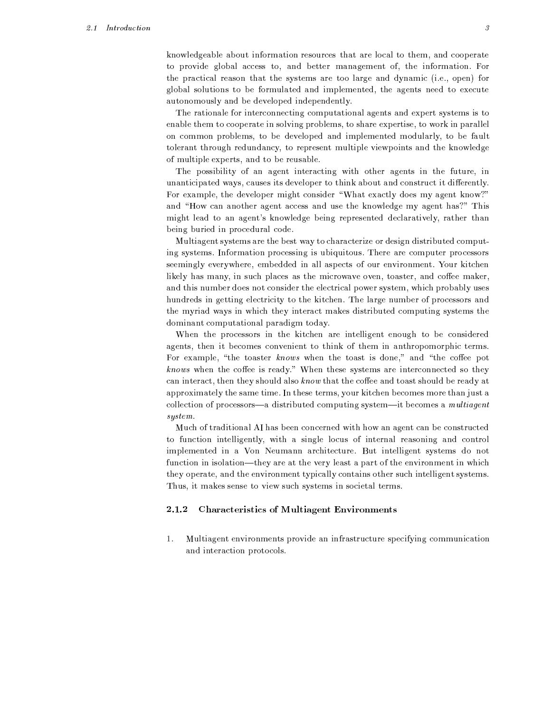$\mathcal{L}^{\alpha}$  and the compact of the compact  $\mathcal{L}^{\alpha}$  by a bundle  $\mathcal{L}^{\alpha}$  in  $\mathcal{L}^{\alpha}$  and  $\mathcal{L}^{\alpha}$  $\Delta$  and a sababa?'s a sababa?' is a sababa?' if  $\Delta$  is a sababa?' if  $\Delta$  is a sababa?' if  $\Delta$  $\mathcal{L}^{\text{max}}$  $\mathcal{D}^{a}$  by  $\mathcal{D}^{a}$  and  $\mathcal{D}^{a}$  and  $\mathcal{D}^{a}$  and  $\mathcal{D}^{a}$  and  $\mathcal{D}^{a}$  and  $\mathcal{D}^{a}$ autonomously and be developed independently.

water  $\mathbf{r}$  is a coefficient of the definition of the definition of the definition of the definition of the definition of the definition of the definition of the definition of the definition of the definition of the de enable them to cooperate in solving problems, to share expertise, to work in parallel conditional as a condition of the condition of the condition of the condition of the condition of the condition of the condition of the condition of the condition of the condition of the condition of the condition of the  $\bar{\mathcal{S}}_k$  and  $\bar{\mathcal{S}}_k$  above for the solution of the solution of the solution of the solution of the solution of the solution of the solution of the solution of the solution of the solution of the solution of the s of multiple experts, and to be reusable.

w2]d~cabaino}2no{no`MycBlgB^g[]\_^#`no^#`b]\_fhgBx\_`in^A[vn`iwªc`bwA]\_f g[]\_^#`bano^ª`bwA]?2`i2fb]u;no^  $\mathcal{L}^{\alpha}$  a.ubsze.y a.ubsze.y a.ubsze.y a.ubsze.y a.ubsze.y a.ubsze.y a.ubsze.y a.ubsze.y a.ubsze.y a.ubsz  $2$ cPfp] $\,$ gB^2k JM5\cBvDxzgB^gB^2cP`bw2]sfrgB[P]\_^#`rgBx\_xs]\_abagB^2kAab]`bwA] ^AcBv{]sk2[]qy\$gB[]s^ `;wegBa#3;LjwAna  $\blacksquare$  a a cabic graphs are concerned to the concerned for the concerned to the concerned to the concerned to the concerned to the concerned to the concerned to the concerned to the concerned to the concerned to the conce being buried in procedural code.

Multiagent systems are the best way to characterize or design distributed computaichean ais ais an chomhan an ais an ais an ais an ais an ais an ais an ais an ais an ais an ais an ais an ais seemingly everywhere, embedded in all aspects of our environment. Your kitchen  $u_{\ell}$  , the set of the set of the set of the set of the set of the set of the set of the set of the set of the set of the set of the set of the set of the set of the set of the set of the set of the set of the set of th  $\mathcal{L}=\mathcal{L}=\mathcal{L}=\mathcal{L}=\mathcal{L}=\mathcal{L}=\mathcal{L}=\mathcal{L}=\mathcal{L}=\mathcal{L}=\mathcal{L}=\mathcal{L}=\mathcal{L}=\mathcal{L}=\mathcal{L}=\mathcal{L}=\mathcal{L}=\mathcal{L}=\mathcal{L}=\mathcal{L}=\mathcal{L}=\mathcal{L}=\mathcal{L}=\mathcal{L}=\mathcal{L}=\mathcal{L}=\mathcal{L}=\mathcal{L}=\mathcal{L}=\mathcal{L}=\mathcal{L}=\mathcal{L}=\mathcal{L}=\mathcal{L}=\mathcal{L}=\mathcal{L}=\mathcal{$ hundreds in getting electricity to the kitchen. The large number of processors and the myriad ways in which they interact makes distributed computing systems the dominant computational paradigm today.

w2] d2fbc and the cobolic field in the collection of the collection of the collection of the collection of the collection of the collection of the collection of the collection of the collection of the collection of the co  $\mathcal{P}_\mathcal{B}$  and the corresponding to the corresponding  $\mathcal{P}_\mathcal{B}$  and the corresponding  $\mathcal{P}_\mathcal{B}$  $2c$ Pff $\mu$ aalis $\mu$ aalis $\mu$ aalis $\mu$ aalis $\mu$ pvw2]\_^ `bw2]x\_cG]s]!noapfb]zgk2y L|w2]s^`bw2]\_ai]!aiy ai`b]\_q"argBfi]!no^#`b]\_fix\_c^A^2]\_x\_`i]\_kaic\$`bw2]sy $\mathcal{L}^{\mathcal{B}}$ syabw2c2{okrgB{oaic }}. In the symplectic control  $\mathcal{L}^{\mathcal{B}}$ agbaida agbaida agbaida agbaida agus an coixe an coixe an coixe an coixe agus agus an coixe agus agus an coixe x\_c{o{o]\_x\_`inoc^cBRdAfbc#x\_]\_aiabcfiaM«gk2noab`ifbno}22`i]\_k!xscq!dA2`bno^2[paby#ai`b]\_q«no`0}~]\_x\_cq"]\_ag! #" \$% '& ()% r

Much of traditional AI has been concerned with how an agent can be constructed  $\blacksquare$ noque a babya babya babya babya babya babya babya babya babya babya babya babya babya babya babya babya babya function in isolation—they are at the very least a part of the environment in which  $\mathcal{L}$  the normal dependence of our deformation  $\mathcal{L}$  and  $\mathcal{L}$  and  $\mathcal{L}$  and  $\mathcal{L}$ Thus, it makes sense to view such systems in societal terms.

### - 5.e5 - . -I/A@B/e+BF.1#@B\*,:sFz\*M+: /
/)803Fz\*/
0~1 9F2191\*@/~9431#9FB:

1. notically noticed the field  $n$  and field  $n$  and field  $\alpha$  $\mathcal{B}^2$  is a contract of the component of the contract of the contract of the contract of the contract of the contract of the contract of the contract of the contract of the contract of the contract of the contract of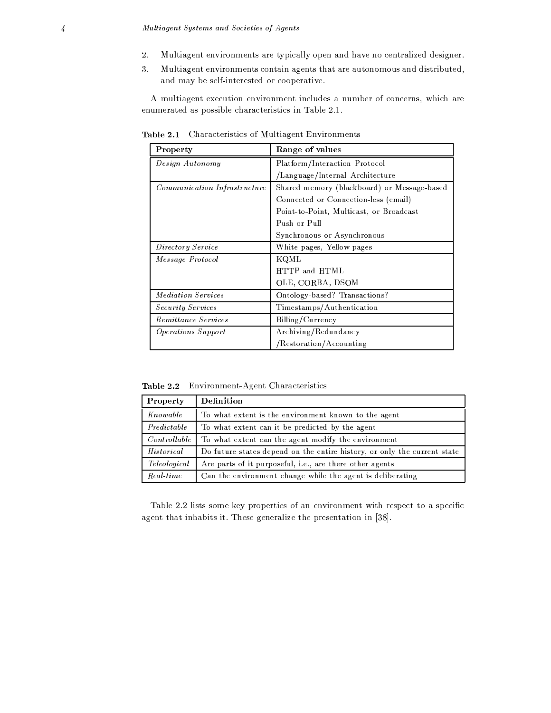- $\overline{2}$ . Multiagent environments are typically open and have no centralized designer.
- $3. \,$ Multiagent environments contain agents that are autonomous and distributed, and may be self-interested or cooperative.

A multiagent execution environment includes a number of concerns, which are enumerated as possible characteristics in Table 2.1.

| Property                     | Range of values                             |  |
|------------------------------|---------------------------------------------|--|
| Design Autonomy              | Platform/Interaction Protocol               |  |
|                              | /Language/Internal Architecture             |  |
| Communication Infrastructure | Shared memory (blackboard) or Message-based |  |
|                              | Connected or Connection-less (email)        |  |
|                              | Point-to-Point, Multicast, or Broadcast     |  |
|                              | Push or Pull                                |  |
|                              | Synchronous or Asynchronous                 |  |
| Directory Service            | White pages, Yellow pages                   |  |
| Message Protocol             | KQML                                        |  |
|                              | HTTP and HTML                               |  |
|                              | OLE, CORBA, DSOM                            |  |
| <b>Mediation Services</b>    | Ontology-based? Transactions?               |  |
| <b>Security Services</b>     | Timestamps/Authentication                   |  |
| Remittance Services          | Billing/Currency                            |  |
| <i>Operations Support</i>    | Archiving/Redundancy                        |  |
|                              | /Restoration/Accounting                     |  |

Table 2.1 Characteristics of Multiagent Environments

Table 2.2 Environment-Agent Characteristics

| Property                | Definition                                                               |
|-------------------------|--------------------------------------------------------------------------|
| Knowable                | To what extent is the environment known to the agent                     |
| Predictable             | To what extent can it be predicted by the agent                          |
| $\mathit{Controltable}$ | To what extent can the agent modify the environment                      |
| Historical              | Do future states depend on the entire history, or only the current state |
| Teleological            | Are parts of it purposeful, i.e., are there other agents                 |
| Real time               | Can the environment change while the agent is deliberating               |

Table 2.2 lists some key properties of an environment with respect to a specific agent that inhabits it. These generalize the presentation in [38].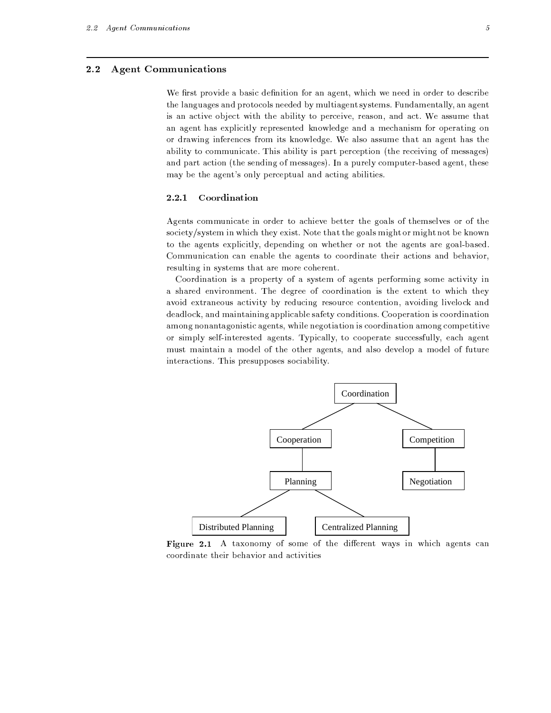### $2.2$ **Agent Communications**

We first provide a basic definition for an agent, which we need in order to describe the languages and protocols needed by multiagent systems. Fundamentally, an agent is an active object with the ability to perceive, reason, and act. We assume that an agent has explicitly represented knowledge and a mechanism for operating on or drawing inferences from its knowledge. We also assume that an agent has the ability to communicate. This ability is part perception (the receiving of messages) and part action (the sending of messages). In a purely computer-based agent, these may be the agent's only perceptual and acting abilities.

### $2.2.1$ Coordination

Agents communicate in order to achieve better the goals of themselves or of the society/system in which they exist. Note that the goals might or might not be known to the agents explicitly, depending on whether or not the agents are goal-based. Communication can enable the agents to coordinate their actions and behavior, resulting in systems that are more coherent.

Coordination is a property of a system of agents performing some activity in a shared environment. The degree of coordination is the extent to which they avoid extraneous activity by reducing resource contention, avoiding livelock and deadlock, and maintaining applicable safety conditions. Cooperation is coordination among nonantagonistic agents, while negotiation is coordination among competitive or simply self-interested agents. Typically, to cooperate successfully, each agent must maintain a model of the other agents, and also develop a model of future interactions. This presupposes sociability.



Figure 2.1 A taxonomy of some of the different ways in which agents can coordinate their behavior and activities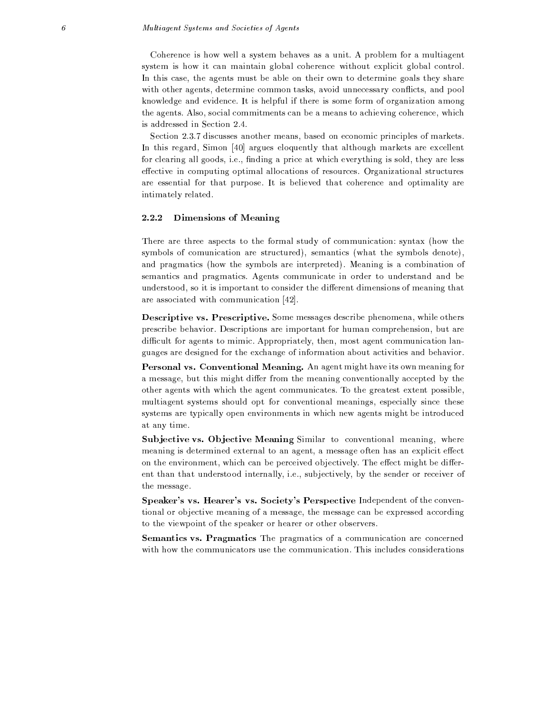Coherence is how well a system behaves as a unit. A problem for a multiagent system is how it can maintain global coherence without explicit global control. In this case, the agents must be able on their own to determine goals they share with other agents, determine common tasks, avoid unnecessary conflicts, and pool knowledge and evidence. It is helpful if there is some form of organization among the agents. Also, social commitments can be a means to achieving coherence, which is addressed in Section 2.4.

Section 2.3.7 discusses another means, based on economic principles of markets. In this regard, Simon [40] argues eloquently that although markets are excellent for clearing all goods, i.e., finding a price at which everything is sold, they are less effective in computing optimal allocations of resources. Organizational structures are essential for that purpose. It is believed that coherence and optimality are intimately related.

### 2.2.2 **Dimensions of Meaning**

There are three aspects to the formal study of communication: syntax (how the symbols of comunication are structured), semantics (what the symbols denote), and pragmatics (how the symbols are interpreted). Meaning is a combination of semantics and pragmatics. Agents communicate in order to understand and be understood, so it is important to consider the different dimensions of meaning that are associated with communication [42].

Descriptive vs. Prescriptive. Some messages describe phenomena, while others prescribe behavior. Descriptions are important for human comprehension, but are difficult for agents to mimic. Appropriately, then, most agent communication languages are designed for the exchange of information about activities and behavior.

Personal vs. Conventional Meaning. An agent might have its own meaning for a message, but this might differ from the meaning conventionally accepted by the other agents with which the agent communicates. To the greatest extent possible, multiagent systems should opt for conventional meanings, especially since these systems are typically open environments in which new agents might be introduced at any time.

**Subjective vs. Objective Meaning Similar to conventional meaning, where** meaning is determined external to an agent, a message often has an explicit effect on the environment, which can be perceived objectively. The effect might be different than that understood internally, i.e., subjectively, by the sender or receiver of the message.

Speaker's vs. Hearer's vs. Society's Perspective Independent of the conventional or objective meaning of a message, the message can be expressed according to the viewpoint of the speaker or hearer or other observers.

**Semantics vs. Pragmatics** The pragmatics of a communication are concerned with how the communicators use the communication. This includes considerations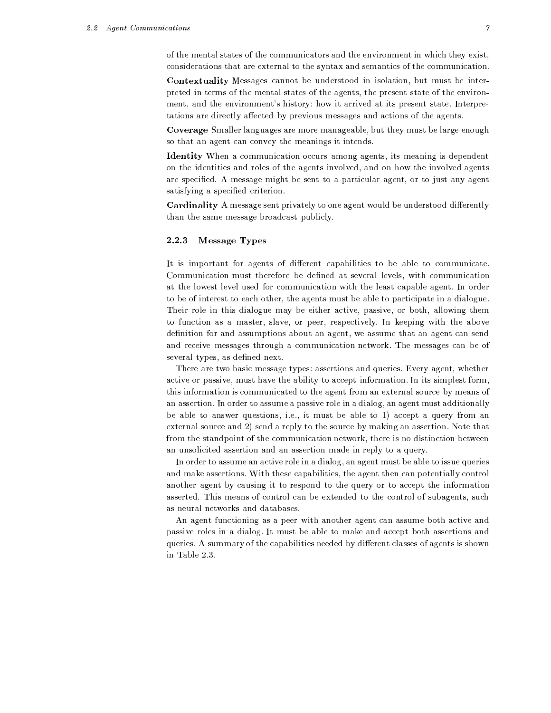of the mental states of the communicators and the environment in which they exist, considerations that are external to the syntax and semantics of the communication.

**Contextuality** Messages cannot be understood in isolation, but must be interpreted in terms of the mental states of the agents, the present state of the environment, and the environment's history: how it arrived at its present state. Interpretations are directly affected by previous messages and actions of the agents.

**Coverage** Smaller languages are more manageable, but they must be large enough so that an agent can convey the meanings it intends.

**Identity** When a communication occurs among agents, its meaning is dependent on the identities and roles of the agents involved, and on how the involved agents are specified. A message might be sent to a particular agent, or to just any agent satisfying a specified criterion.

**Cardinality** A message sent privately to one agent would be understood differently than the same message broadcast publicly.

#### 2.2.3 **Message Types**

It is important for agents of different capabilities to be able to communicate. Communication must therefore be defined at several levels, with communication at the lowest level used for communication with the least capable agent. In order to be of interest to each other, the agents must be able to participate in a dialogue. Their role in this dialogue may be either active, passive, or both, allowing them to function as a master, slave, or peer, respectively. In keeping with the above definition for and assumptions about an agent, we assume that an agent can send and receive messages through a communication network. The messages can be of several types, as defined next.

There are two basic message types: assertions and queries. Every agent, whether active or passive, must have the ability to accept information. In its simplest form. this information is communicated to the agent from an external source by means of an assertion. In order to assume a passive role in a dialog, an agent must additionally be able to answer questions, i.e., it must be able to 1) accept a query from an external source and 2) send a reply to the source by making an assertion. Note that from the standpoint of the communication network, there is no distinction between an unsolicited assertion and an assertion made in reply to a query.

In order to assume an active role in a dialog, an agent must be able to issue queries and make assertions. With these capabilities, the agent then can potentially control another agent by causing it to respond to the query or to accept the information asserted. This means of control can be extended to the control of subagents, such as neural networks and databases.

An agent functioning as a peer with another agent can assume both active and passive roles in a dialog. It must be able to make and accept both assertions and queries. A summary of the capabilities needed by different classes of agents is shown in Table 2.3.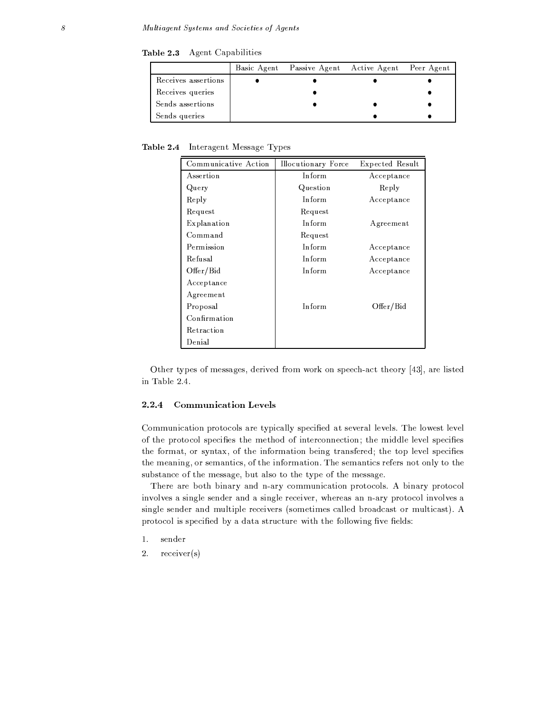- - Z\[P]\_^#`\ gBdeg}2no{on`ino]\_a

|                     | Basic Agent Passive Agent Active Agent Peer Agent |  |
|---------------------|---------------------------------------------------|--|
| Receives assertions |                                                   |  |
| Receives queries    |                                                   |  |
| Sends assertions    |                                                   |  |
| Sends queries       |                                                   |  |

-  ^#`b]\_fhgB[P]\_^#` ]\_aiag[]y#de]\_a

| Communicative Action | <b>Illocutionary Force</b> | Expected Result |
|----------------------|----------------------------|-----------------|
| Assertion            | Inform                     | Acceptance      |
| Query                | Question                   | Reply           |
| Reply                | Inform                     | Acceptance      |
| Request              | Request                    |                 |
| Explanation          | Inform                     | Agreement       |
| Command              | Request                    |                 |
| Permission           | Inform                     | Acceptance      |
| Refusal              | Inform                     | Acceptance      |
| Offer/Bid            | Inform                     | Acceptance      |
| Acceptance           |                            |                 |
| Agreement            |                            |                 |
| Proposal             | Inform                     | Offer/Bid       |
| Confirmation         |                            |                 |
| Retraction           |                            |                 |
| Denial               |                            |                 |

 $\delta$  and the component parameter  $\delta$  abdocfb  $\delta$  abdocfb  $\delta$  . If the  $\delta$  ?Ibu2gBfigate  $\delta$  ?Ibu2gBfi]p{noai`b] in Table 2.4.

### 2.2.4 Communication Levels

Communication protocols are typically specified at several levels. The lowest level  $\mathcal{A}$  and the standard standard control normalized increases the control of the standard control of the standard control of the standard control of the standard control of the standard control of the standard control o  $\blacksquare$ chaby and the contraction of contracting both  $\blacksquare$ the meaning, or semantics, of the information. The semantics refers not only to the substance of the message, but also to the type of the message.

water in the state of the boosted parameter  $\mu$  and  $\mu$  and  $\mu$  and  $\mu$  and  $\mu$  $\mathcal{P}_\mathcal{P}$  and the contribution  $\mathcal{P}_\mathcal{P}$  and the contribution  $\mathcal{P}_\mathcal{P}$  and tchock  $\mathcal{P}_\mathcal{P}$ abno  $2k$  absolute  $2k$  and  $2k$  7aic  $2k$  7aic  $2k$  7aic  $2k$  7aic  $2k$  7aic  $2k$  7aic  $2k$  7aic  $2k$  7aic $2k$  $\mathcal{L}$  and the state  $\mathcal{L}$  are an interval point of the state  $\mathcal{L}$ 

- 1. sender
- 2.  $receiver(s)$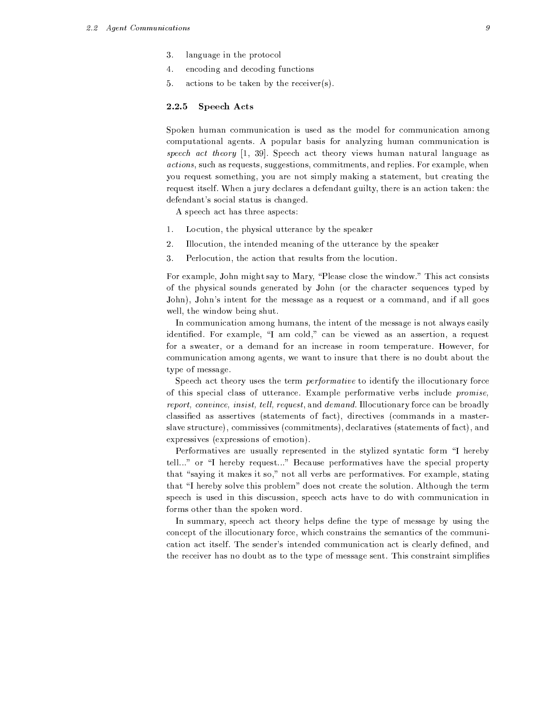- 3. language in the protocol
- 4. encoding and decoding functions
- 5. actions to be taken by the receiver(s)

#### $2.2.5$ Speech Acts

Spoken human communication is used as the model for communication among  $x^2$ hga barbocPagBaina card decPd22; decPd22; qa $x^2$ gaina c $x^2$ nox $x^2$ gaina c $x^2$ nox $x^2$ gbiinc $x^2$  $\mathcal{L}=\mathcal{L}=\mathcal{L}=\mathcal{L}=\mathcal{L}=\mathcal{L}=\mathcal{L}=\mathcal{L}=\mathcal{L}=\mathcal{L}=\mathcal{L}=\mathcal{L}=\mathcal{L}=\mathcal{L}=\mathcal{L}=\mathcal{L}=\mathcal{L}=\mathcal{L}=\mathcal{L}=\mathcal{L}=\mathcal{L}=\mathcal{L}=\mathcal{L}=\mathcal{L}=\mathcal{L}=\mathcal{L}=\mathcal{L}=\mathcal{L}=\mathcal{L}=\mathcal{L}=\mathcal{L}=\mathcal{L}=\mathcal{L}=\mathcal{L}=\mathcal{L}=\mathcal{L}=\mathcal{$  $\mathcal{L}_\mathcal{B}$  and  $\mathcal{L}_\mathcal{B}$  are accomoting to the condition of  $\mathcal{L}_\mathcal{B}$ you request something, you are not simply making a statement, but creating the request itself. When a jury declares a defendant guilty, there is an action taken: the k2]h]s^2kegB^#` aabc#x\_ngB{ai`g`b2anaxhweg^2[]skR

 $Z$ abdaidean baidean baidean baidean baidean baidean baidean baidean baidean baidean baidean baidean baidean b

- $\mathcal{L}^2$  increases and  $\mathcal{L}^2$  ainoxidation  $\mathcal{L}^2$  and  $\mathcal{L}^2$  ainoxidation  $\mathcal{L}^2$
- ,2  ${\bf x}$
- $3.$ Perlocution, the action that results from the locution.

2cPf=]\_m2gBq"d2{o]uPcw2^q"n[Pw#`Rag.y`bc gBfiy u8J£{o]zgBai]\x\_{ocPab]\`iw2]vno^2k2cBv Lpw2noagBxs`x\_cP^2abnoai`ba of the physical sounds generated by John (or the character sequences typed by John), John's intent for the message as a request or a command, and if all goes well, the window being shut.

In communication among humans, the intent of the message is not always easily nok2]\_^#`bn¡e]\_k2cPf!]\_m2gq!d2{o]u <sup>J</sup> gBq xsc{okRu LxzgB^}~]lt#no]\_v]\_k ga\$gB^gabab]sfb`bnocP^Ru\gfi]
B#2]\_ai`  $z$ communication among agents, we want to insure that there is no doubt about the type of message.

 $\alpha$  and  $\alpha$  by  $\alpha$  and  $\alpha$  and  $\alpha$  and  $\alpha$  and  $\alpha$ cBr`iw2noa|abd~]\_x\_ngB{xs{ gaba|cB2`b`i]\_fg^2x\_]0m2gBq"d2{o]\$de]sfMcPfbqjg`bnot]|tP]\_fb}2an^Ax\_{o2k2] '%  $\mathbb{R}^n$  and  $\mathbb{R}^n$  if the set of  $\mathbb{R}^n$  and  $\mathbb{R}^n$  and  $\mathbb{R}^n$  $x=a\beta$ a biababaiabnieg a 7aiog`:suk $a$ a 7yy $a$ a 7yy $a$ i ano $a$  g qigab $a$ slave structure), commissives (commitments), declaratives (statements of fact), and  $\blacksquare$ 

 $\blacksquare$  and the conocalegation of the conocalegation  $\blacksquare$ `b]\_{o{Moo LcfEJ wA]\_fb]\_}#yfi]
B#2]\_ai`zoo <sup>L</sup> ¨]\_xzg2ab]d~]\_fMcPfbq|gB`bnotP]\_aweg.t]|`iw2]\$abd~]\_x\_ng{dAfbcd~]\_fi`My  $\mu$  Jiag.y Loo  $\mu$ ano`abc $^2$ agfb $^2$ agfb $^2$ agfb $^2$ agfb $^2$ gboo $^2$  $\mathcal{C}=\mathcal{C}=\mathcal{C}=\mathcal{C}=\mathcal{C}=\mathcal{C}=\mathcal{C}=\mathcal{C}=\mathcal{C}=\mathcal{C}=\mathcal{C}=\mathcal{C}=\mathcal{C}=\mathcal{C}=\mathcal{C}=\mathcal{C}=\mathcal{C}=\mathcal{C}=\mathcal{C}=\mathcal{C}=\mathcal{C}=\mathcal{C}=\mathcal{C}=\mathcal{C}=\mathcal{C}=\mathcal{C}=\mathcal{C}=\mathcal{C}=\mathcal{C}=\mathcal{C}=\mathcal{C}=\mathcal{C}=\mathcal{C}=\mathcal{C}=\mathcal{C}=\mathcal{C}=\mathcal{$ abd $\mathcal{L}$  no $\mathcal{L}$  noonby  $\mathcal{L}$  absorbed the context vnoibus  $\mathcal{L}$  notable that  $\mathcal{L}$  no  $\mathcal{L}$ forms other than the spoken word.

 $\blacksquare$ concept of the illocutionary force, which constrains the semantics of the communi $x$  in the state  $x$  is arrowing the state of  $x$  are  $x$  and  $y$  are  $x$  and  $y$  $\Delta$  core activities and the experimental absolute  $\Delta$  are activities and the experimental absolute  $\Delta$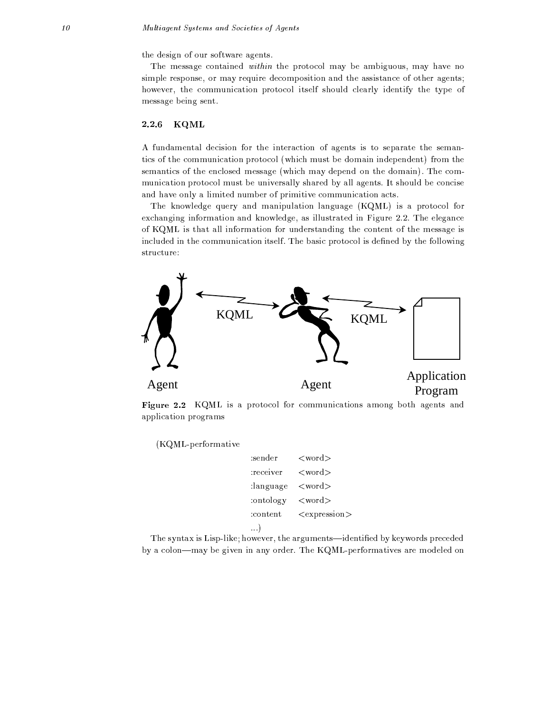the design of our software agents.

The message contained *within* the protocol may be ambiguous, may have no simple response, or may require decomposition and the assistance of other agents; however, the communication protocol itself should clearly identify the type of message being sent.

### 2.2.6 **KQML**

A fundamental decision for the interaction of agents is to separate the semantics of the communication protocol (which must be domain independent) from the semantics of the enclosed message (which may depend on the domain). The communication protocol must be universally shared by all agents. It should be concise and have only a limited number of primitive communication acts.

The knowledge query and manipulation language (KQML) is a protocol for exchanging information and knowledge, as illustrated in Figure 2.2. The elegance of KQML is that all information for understanding the content of the message is included in the communication itself. The basic protocol is defined by the following structure:



Figure 2.2 KQML is a protocol for communications among both agents and application programs

(KQML-performative

| :sender    | <word></word>             |
|------------|---------------------------|
| :receiver  | <word></word>             |
| :language  | <word></word>             |
| :ontology  | <word></word>             |
| :content   | <expression></expression> |
| $\ldots$ ) |                           |

The syntax is Lisp-like; however, the arguments—identified by keywords preceded by a colon—may be given in any order. The KQML-performatives are modeled on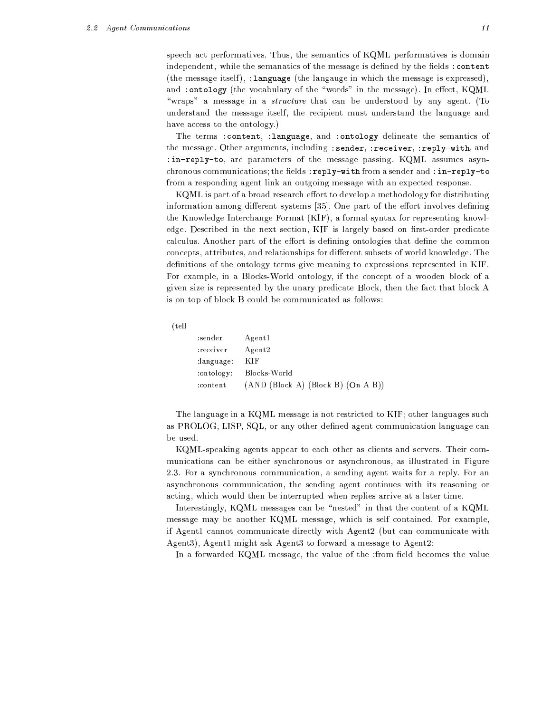abd $\alpha$  and the positive definition of the comparison of  $\alpha$  and  $\alpha$  and  $\alpha$  analyze  $\alpha$  $\alpha$  k2 k2 and  $\alpha$  while the componeties of the messens is defined by the folds  $\alpha$  -gap  $\alpha$  $\gamma$ im2aiab $\gamma$ y2[[]no $\gamma$ im2aiag $\gamma$  $\Box$  in the film of  $\Box$  is a set of  $\Box$  in the  $\Box$  $\mu$  and the contract of the case of the case of the case of the case of the case of the case of the case of the case of the case of the case of the case of the case of the case of the case of the case of the case of the understand the message itself, the recipient must understand the language and we get the contribution of the contribution of  $\mathcal{P}_\mathcal{A}$  is a contribution of  $\mathcal{P}_\mathcal{A}$ 

 $\tau$ be terme is a that ilergal and is the deliverte the computing of the messes of Other erguments including coarders crossivers crowly with end -# \$ ugBfb] degBfhgBq!]s`b]\_fiacBj`iw2]q"]\_abahgB[] degBaiabno^2[~ gabai2q!]\_agaby#^#  $\alpha$  abvey accomparation of the fields  $\alpha$  in  $\alpha$  is the from a sendor and  $\alpha$  in  $\alpha$  in  $\alpha$ fbcPacePoin2[g]\_absabd=co2][g]\_absabd=co2] gastacheed  $\delta$  absorption by going  $\delta$  abdo-co2aid  $\delta$ 

 noadegBfi`Iceg}2fic gBk;fb]\_ai]zgBfixw]GcPfb`0`bck2]\_t]s{cPdgq"]\_`bwAc kAc{oc[Pycfk2noab`bfino}22`bno^2[ $\mathcal{A}$  and  $\mathcal{B}$  are degenerated DF? and DF? and DF?  $\mathcal{A}$ `bw2]p^2cBv{o]\_k2[P] ^ `i]\_fbxhweg^2[]2AcfiqjgB`7):su2gpcPfbq|gB{2aiy ^#`hgBmcPffi]\_d2fb]sab]\_^#`bno^2["#^2cBv{¡ $\mathcal{P}_n$  and the coince  $\mathcal{P}_n$  and  $\mathcal{P}_n$  is a general density of  $\mathcal{P}_n$  and  $\mathcal{P}_n$ calculus. Another part of the effort is defining ontologies that define the common  $x\mapsto A^2\in\mathbb{R}^2$ ailaac $P$ aabw $A$ abaabw $A$ abw $A$ aabw $A$ ac $P$ faabw $A$  $k=2$ apc $2$ apc $2$ apc $2$ a $\beta$  $2c$  and an extra contract occurs in the cocoperation of the cocperation of the coceperation of the case of the case of the cocoperation of the cocoperation of the cocoperation of the cocoperation of the cocoperation of t  $\blacksquare$ noac^|`bcPdjcI}2{oc#xh ¨ xsc2{ok!}~]x\_cPq!q2^Anx.gB`b]skgac{o{ocBvaz¢

 $(tell]$ 

| Agent1                             |
|------------------------------------|
| Agent2                             |
| KIF                                |
| :ontology: Blocks-World            |
| (AND (Block A) (Block B) (On A B)) |
|                                    |

was a constant of the constant  $\mu$  above  $\mu$  if a constant  $\mu$  above  $\mu$  abit  $\mu$   $\mu$  $\mathbf{F}=\mathbf{F}^T\mathbf{F}^T\mathbf{F}^T\mathbf{F}^T\mathbf{F}^T\mathbf{F}^T\mathbf{F}^T\mathbf{F}^T\mathbf{F}^T\mathbf{F}^T\mathbf{F}^T\mathbf{F}^T\mathbf{F}^T\mathbf{F}^T\mathbf{F}^T\mathbf{F}^T\mathbf{F}^T\mathbf{F}^T\mathbf{F}^T\mathbf{F}^T\mathbf{F}^T\mathbf{F}^T\mathbf{F}^T\mathbf{F}^T\mathbf{F}^T\mathbf{F}^T\mathbf{F}$ be used.

 $\mathcal{D}_\mathcal{D}$ zgf $\mathcal{D}_\mathcal{D}$ zgf $\mathcal{D}_\mathcal{D}$  $\mathcal{L}^2$  as a set of the contracted band of the contracted band of the contracted band of the contracted band of the contracted band of the contracted band of the contracted band of the contracted band of the contracted  $\mathcal{L}^2$  and  $\mathcal{L}^2$  are gaing at  $\mathcal{L}^2$  and  $\mathcal{L}^2$  are given by  $\mathcal{L}^2$  and  $\mathcal{L}^2$  $\mathcal{B}^{\mathcal{B}}$  able to a control control  $\mathcal{B}^{\mathcal{B}}$  about the 2 non-2 form  $\mathcal{B}^{\mathcal{B}}$ .general control control control control control control control control control control control control control control cont gBx\_`ino^2[eu#vw2noxhw|vcP2{ok!`iw2]\_^\$}~]pn^#`i]\_fbfi2d2`b]sklvw2]s^jfi]\_d2{ono]\_a\gBfifbnot]g`\g{ g`b]\_f`inoq!]

w international and the contract of the contract of the contract of the contract of the contract of the contract of the contract of the contract of the contract of the contract of the contract of the contract of the contra  $\rho$  and the contract of the contract of the contract of the contract of the contract of the contract of the contract of the contract of the contract of the contract of the contract of the contract of the contract of the  $\Delta$ ia i $\Delta$ Z\[P]\_^#`?>:su2Z[]\_^#`+\*pq"no[w#`gBai!Z[]\_^#`?`iccfbvgBfik\$gq"]\_abahgB[]p`icZ\[]s^ `#,2¢

wa gcPfbfbka] abahaga bahaga bahaga bahaga bahaga bahaga bahaga bahaga bahaga bahaga bahaga bahaga bahaga baha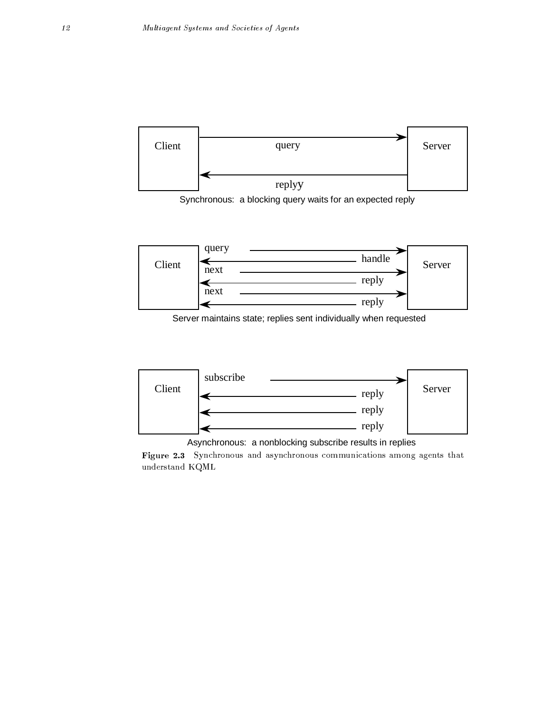



c !j( - #y#^2xhw2fic^2cP2a!gB^2k?gBaiy ^AxwAfbc^Ac2ax\_cPq!q2^Anx.gB`bnocP^2agBq!cP^2[\$gB[P]\_^#`ba`bw~gB`2^2k2]sfbab`hgB^2k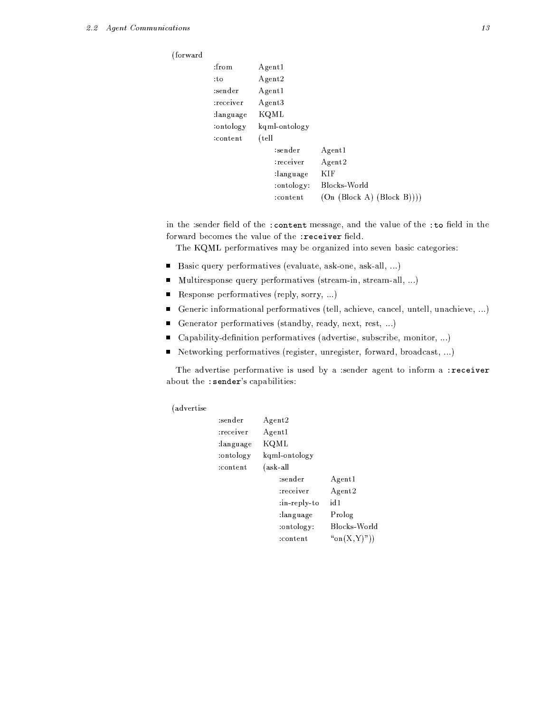| (forward |           |               |                            |
|----------|-----------|---------------|----------------------------|
|          | $:$ from  | Agent1        |                            |
|          | :to       | $A$ gent $2$  |                            |
|          | :sender   | Agent1        |                            |
|          | :receiver | Agent3        |                            |
|          | :language | KQML          |                            |
|          | :ontology | kqml-ontology |                            |
|          | :content  | (tell)        |                            |
|          |           | :sender       | Agent1                     |
|          |           | :receiver     | $A$ gent $2$               |
|          |           | :language     | KIF                        |
|          |           | :ontology:    | Blocks-World               |
|          |           | :content      | (On (Block A) (Block B)))) |

in the wender fold of the content messeare and the velue of the cto fold in the  $\sim$  $c$ li lici

was an internal parameter  $\alpha$  and  $\alpha$  and  $\alpha$  is a contract of  $\alpha$  internal parameters  $\alpha$ 

- $\blacksquare$ ¨ gBainox B#2]sfby|de]sfMcPfbqjg`bnot]sa 7Y]\_tgB{oeg`b]u2gabP,cP^2]u~gBabPbgB{o{MueooF:
- $\blacksquare$  $2^{o\bullet}$  based backgrounds backgrounds backgrounds by  $\mathcal{C}$  and  $\mathcal{C}$   $\mathcal{C}$  and  $\mathcal{C}$
- $\blacksquare$  $\blacksquare$
- Generic informational performatives (tell, achieve, cancel, untell, unachieve, ...)  $\blacksquare$
- $\blacksquare$  $\bullet$  and the following and the following  $\mu$  are the following the following  $\mu$
- Gapability-definition performatives (advertise, subscribe, monitor, ...)  $\blacksquare$
- Networking performatives (register, unregister, forward, broadcast, ...)  $\blacksquare$

The education performetive is used by a weeder agent to informe a unequiring abaut the casader's copebilities.

(advertise

| :sender   | Agent2          |                |
|-----------|-----------------|----------------|
| :receiver | Agent1          |                |
| :language | KQML            |                |
| :ontology | kgml-ontology   |                |
| :content  | (ask-all        |                |
|           | :sender         | Agentl         |
|           | :receiver       | Agent2         |
|           | $:$ in-reply-to | id1            |
|           | :language       | Prolog         |
|           | :ontology:      | Blocks-World   |
|           | :content        | " $on(X,Y)$ ") |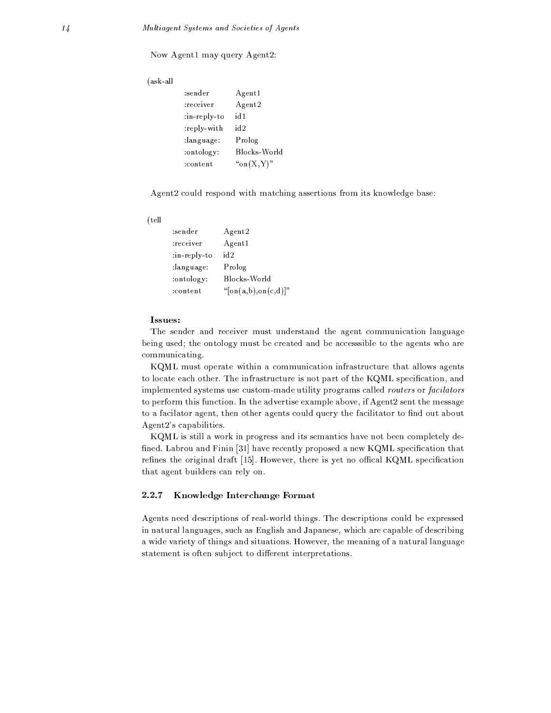Now Agent1 may query Agent2:

| (ask-all |                 |                 |
|----------|-----------------|-----------------|
|          | :sender         | Agentl          |
|          | :receiver       | $A$ gent $2$    |
|          | $:$ in-reply-to | id 1            |
|          | :reply-with     | id <sub>2</sub> |
|          | :language:      | Prolog          |
|          | :ontology:      | Blocks-World    |
|          | :content        | " $on(X,Y)$ "   |

Agent2 could respond with matching assertions from its knowledge base:

```
(tell]
```

| :sender      | $A$ gent $2$        |
|--------------|---------------------|
| receiver:    | Agentl              |
| in-reply-to: | id2                 |
| :language:   | Prolog              |
| :ontology:   | Blocks-World        |
| :content     | "[on(a,b),on(c,d)]" |

### Issues:

was a continuous continuous continuous continuous continuous continuous continuous continuous continuous continuous continuous continuous continuous continuous continuous continuous continuous continuous continuous contin being used; the ontology must be created and be accesssible to the agents who are communicating.

 $KQML$  must operate within a communication infrastructure that allows agents  $\delta$  and the component of the followall control for the component of the component of the component of the component of the component of the component of the component of the component of the component of the component of noque about a both  $\mathcal{O}_\mathcal{A}$  and  $\mathcal{O}_\mathcal{A}$  are about a set  $\mathcal{O}_\mathcal{A}$  . And the set of  $\mathcal{O}_\mathcal{A}$  $\bar{a}$  and  $\bar{a}$  and  $\bar{a}$  general galaxies  $\bar{a}$  and  $\bar{a}$  and  $\bar{a}$  $\Box$ io{gBziicfg]\_in="international" and ono of the 2 king Basic Basic Basic Basic Basic Basic Basic Basic Basic Basic Basic Basic Basic Basic Basic Basic Basic Basic Basic Basic Basic Basic Basic Basic Basic Basic Basic B  $A$ gent $2$ 's capabilities.

KQML is still a work in progress and its semantics have not been completely defined. Labrou and Finin [31] have recently proposed a new KQML specification that refines the original draft [15]. However, there is yet no offical KQML specification that agent builders can rely on.

### - <sup>5</sup> - 5 "9)/r312<0e1 h9RF.1#@+.-I/A940~1 8/~@3/2F

Agents need descriptions of real-world things. The descriptions could be expressed no abiashy gada $\mu$ a.u.abiashy gada $\mu$ abaJofinialabada abxofilialabada abxibilix.gbdega abxsfbno $2$ a wide variety of things and situations. However, the meaning of a natural language statement is often subject to different interpretations.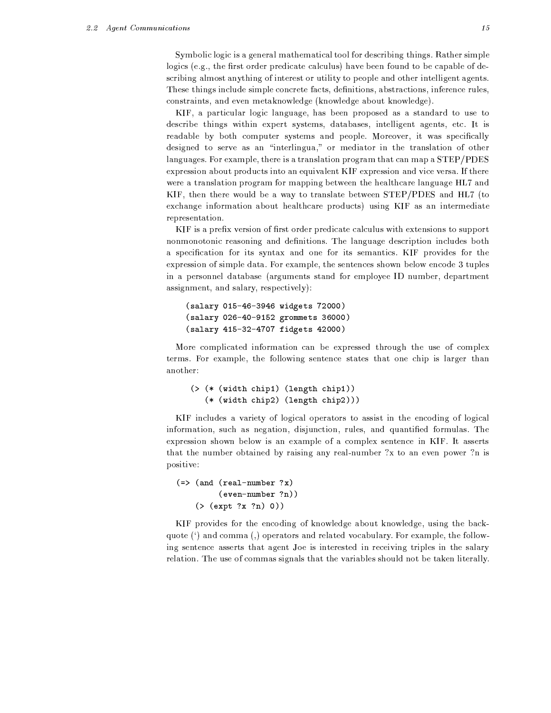Symbolic logic is a general mathematical tool for describing things. Rather simple logics (e.g., the first order predicate calculus) have been found to be capable of describing almost anything of interest or utility to people and other intelligent agents. These things include simple concrete facts, definitions, abstractions, inference rules, constraints, and even metaknowledge (knowledge about knowledge).

KIF, a particular logic language, has been proposed as a standard to use to describe things within expert systems, databases, intelligent agents, etc. It is readable by both computer systems and people. Moreover, it was specifically designed to serve as an "interlingua," or mediator in the translation of other languages. For example, there is a translation program that can map a STEP/PDES expression about products into an equivalent KIF expression and vice versa. If there were a translation program for mapping between the healthcare language HL7 and KIF, then there would be a way to translate between STEP/PDES and HL7 (to exchange information about healthcare products) using KIF as an intermediate representation.

KIF is a prefix version of first order predicate calculus with extensions to support nonmonotonic reasoning and definitions. The language description includes both a specification for its syntax and one for its semantics. KIF provides for the expression of simple data. For example, the sentences shown below encode 3 tuples in a personnel database (arguments stand for employee ID number, department assignment, and salary, respectively):

```
(salary 015-46-3946 widgets 72000)
(salary 026-40-9152 grommets 36000)
(salary 415-32-4707 fidgets 42000)
```
More complicated information can be expressed through the use of complex terms. For example, the following sentence states that one chip is larger than another:

```
(> (* (width chip1) (length chip1))
  (* (width chip2) (length chip2)))
```
KIF includes a variety of logical operators to assist in the encoding of logical information, such as negation, disjunction, rules, and quantified formulas. The expression shown below is an example of a complex sentence in KIF. It asserts that the number obtained by raising any real-number ?x to an even power ?n is positive:

```
( => (and (real-number ?x)(even-number ?n))
    (>(\text{expt }?x ?n) 0))
```
KIF provides for the encoding of knowledge about knowledge, using the backquote (') and comma (,) operators and related vocabulary. For example, the following sentence asserts that agent Joe is interested in receiving triples in the salary relation. The use of commas signals that the variables should not be taken literally.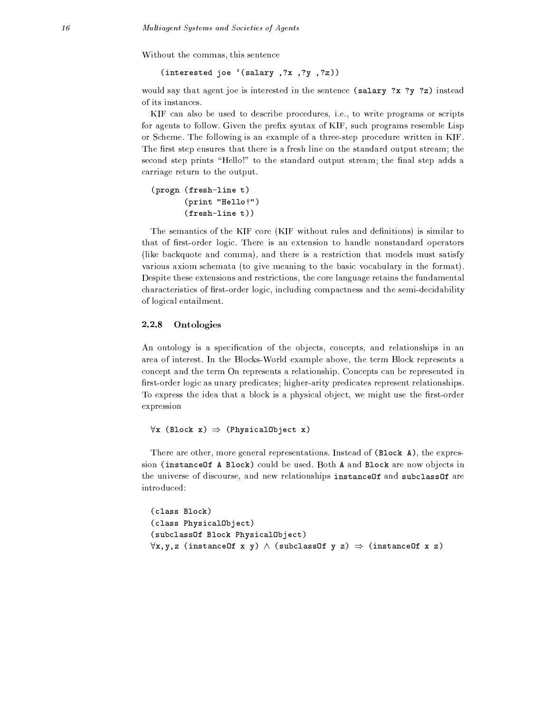Without the commas, this sentence

(interested joe '(salary, ?x, ?y, ?z))

would say that agent joe is interested in the sentence (salary ?x ?y ?z) instead of its instances.

KIF can also be used to describe procedures, i.e., to write programs or scripts for agents to follow. Given the prefix syntax of KIF, such programs resemble Lisp or Scheme. The following is an example of a three-step procedure written in KIF. The first step ensures that there is a fresh line on the standard output stream; the second step prints "Hello!" to the standard output stream; the final step adds a carriage return to the output.

```
(progn (fresh-line t)
       (print "Hello!")
       (fresh-line t))
```
The semantics of the KIF core (KIF without rules and definitions) is similar to that of first-order logic. There is an extension to handle nonstandard operators (like backguote and comma), and there is a restriction that models must satisfy various axiom schemata (to give meaning to the basic vocabulary in the format). Despite these extensions and restrictions, the core language retains the fundamental characteristics of first-order logic, including compactness and the semi-decidability of logical entailment.

#### 2.2.8 Ontologies

An ontology is a specification of the objects, concepts, and relationships in an area of interest. In the Blocks-World example above, the term Block represents a concept and the term On represents a relationship. Concepts can be represented in first-order logic as unary predicates: higher-arity predicates represent relationships. To express the idea that a block is a physical object, we might use the first-order expression

```
\forall x (Block x) \Rightarrow (PhysicalObject x)
```
There are other, more general representations. Instead of (Block A), the expression (instanceOf A Block) could be used. Both A and Block are now objects in the universe of discourse, and new relationships instance Of and subclass Of are introduced:

```
(class Block)
(class PhysicalObject)
(subclassOf Block PhysicalObject)
\forall x, y, z (instanceOf x y) \land (subclassOf y z) \Rightarrow (instanceOf x z)
```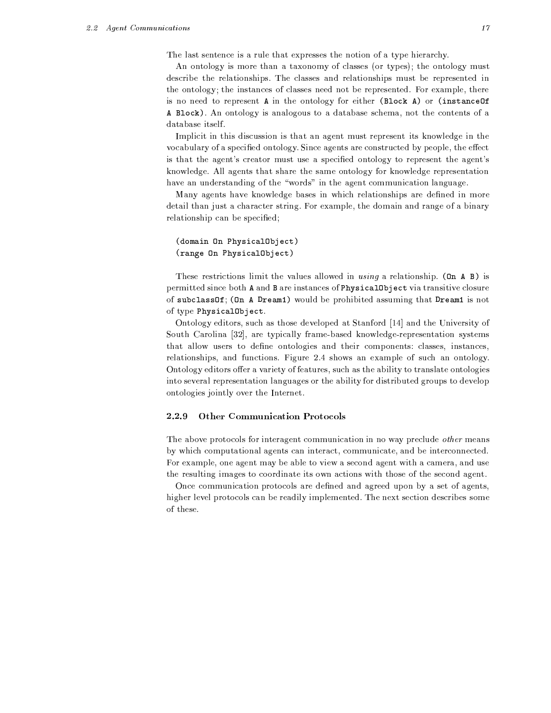was a bounded by a coincident of the coincident of the coincident of the coincident of the coincident of the coincident of the coincident of the coincident of the coincident of the coincident of the coincident of the coin

 $\mathcal{L}^2$  and  $\mathcal{L}^2$  are algorithmic points given by the condition  $\mathcal{L}^2$  and  $\mathcal{L}^2$  $\bar{P}_\mu = \bar{P}_\mu - \bar{P}_\mu$  and  $\bar{P}_\mu = \bar{P}_\mu - \bar{P}_\mu$  and  $\bar{P}_\mu = \bar{P}_\mu - \bar{P}_\mu$  and  $\bar{P}_\mu = \bar{P}_\mu - \bar{P}_\mu$  $\mathcal{C}$  is the solution of the contract  $\mathcal{C}$  and  $\mathcal{C}$  absorption of  $\mathcal{C}$  $\lambda$  Black). An entelegr is enalogene to a detelesce geleves not the contents of database itself.

 $\Delta$  is a contract of  $\Delta$  contract  $\Delta$  contract  $\Delta$  contract  $\Delta$  contract  $\Delta$  contract  $\Delta$  as  $\Delta$ 

Implicit in this discussion is that an agent must represent its knowledge in the  $\alpha$  and  $\alpha$  and  $\alpha$  and  $\alpha$  and  $\alpha$  and  $\alpha$  $\blacksquare$  $\mathcal{P}_\mathcal{P}$  by a particle in the contract bundle in the contract of  $\mathcal{P}_\mathcal{P}$ we grade the contract and the contract of the contract of the contract of  $\mathcal{C}^2$  nor  $\mathcal{C}^2$ 

 $\blacksquare$ detail than just a character string. For example, the domain and range of a binary relationship can be specified;

```
\lambda , and \lambda and \lambda\ell and \ell and \ell
```
These restrictions limit the velues ellewed in using a relationship  $(P_m, A, B)$  is deasily in the four contract  $g$  and  $f$  and  $f$  if no  $\mathbb{R}^2$ of  $\mathbf{u}_k$ ,  $\mathbf{v}_k$  ( $\mathbf{u}_k$  is  $\mathbf{v}_k$ ),  $\mathbf{v}_k$  and  $\mathbf{v}_k$  is  $\mathbf{v}_k$  and  $\mathbf{v}_k$  and  $\mathbf{v}_k$  is  $\mathbf{v}_k$  $\mathcal{C}$  and  $\mathcal{C}$  is defined by the contract of  $\mathcal{C}$ 

 $\,$ notic  $\,$  $\alpha$  and the general dans  $\alpha$  cabinet  $\alpha$  cabinet  $\alpha$ . An aince  $q_{\sigma}$  is a context group  $\sigma$  and  $\sigma$  are  $\sigma$  and  $\sigma$  are  $\sigma$  and  $\sigma$ .  $\sigma$ fb]\_{g`bnoc^2aiw2nod2azug^2k?2^Ax\_`bnoc^Aaz n[P2fb] ,2 Aaiw2cBvajg^]\_m2gBq"d2{o]jcrabAxwgB^ c^#`bcP{cP[y#  $\sim$  a.u.B.base2no{on}\_a.ubcoifgatgfbno\_a.ubcoifgatganb2no{on}\_a.ubcoifgatganbase2no{on}\_a.ubcoifgatgraph\_icp^  $\cdots$  is a complementary denote the complex notable  $\cdots$  and  $\cdots$  and  $\cdots$  and  $\cdots$ compared to the contract of the compared term in the contract  $\mathcal{L}$  by  $\mathcal{L}$ 

### 2.2.9 Other Communication Protocols

was a coasciered as coasciered as coastered as  $\alpha$  and  $\alpha$  and  $\alpha$  and  $\alpha$ by which computational agents can interact, communicate, and be interconnected. For example, one agent may be able to view a second agent with a camera, and use the resulting images to coordinate its own actions with those of the second agent.

 $\overline{\phantom{a}}$  and  $\overline{\phantom{a}}$  and  $\overline{\phantom{a}}$  and  $\overline{\phantom{a}}$  and  $\overline{\phantom{a}}$  gain  $\overline{\phantom{a}}$  gain  $\overline{\phantom{a}}$  given groups given by higher level protocols can be readily implemented. The next section describes some of these.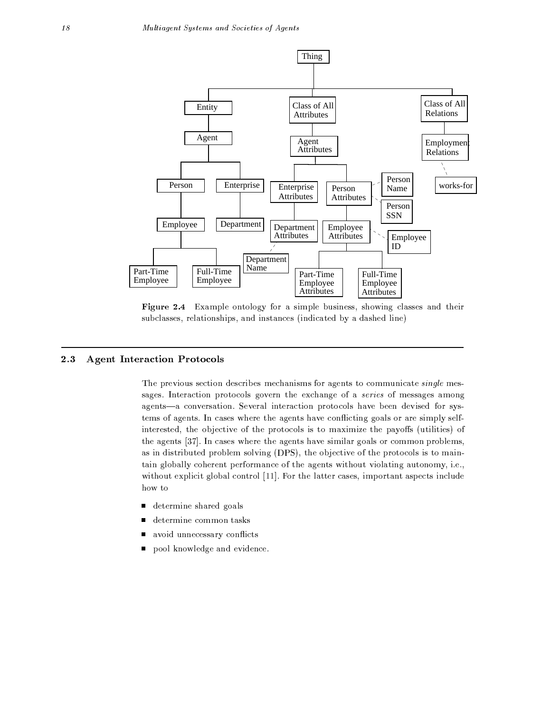

Figure 2.4 Example ontology for a simple business, showing classes and their subclasses, relationships, and instances (indicated by a dashed line)

### $2.3$ **Agent Interaction Protocols**

The previous section describes mechanisms for agents to communicate *single* messages. Interaction protocols govern the exchange of a *series* of messages among agents—a conversation. Several interaction protocols have been devised for systems of agents. In cases where the agents have conflicting goals or are simply selfinterested, the objective of the protocols is to maximize the payoffs (utilities) of the agents [37]. In cases where the agents have similar goals or common problems, as in distributed problem solving (DPS), the objective of the protocols is to maintain globally coherent performance of the agents without violating autonomy, i.e., without explicit global control [11]. For the latter cases, important aspects include how to

- determine shared goals  $\blacksquare$
- determine common tasks  $\blacksquare$
- avoid unnecessary conflicts
- pool knowledge and evidence.  $\blacksquare$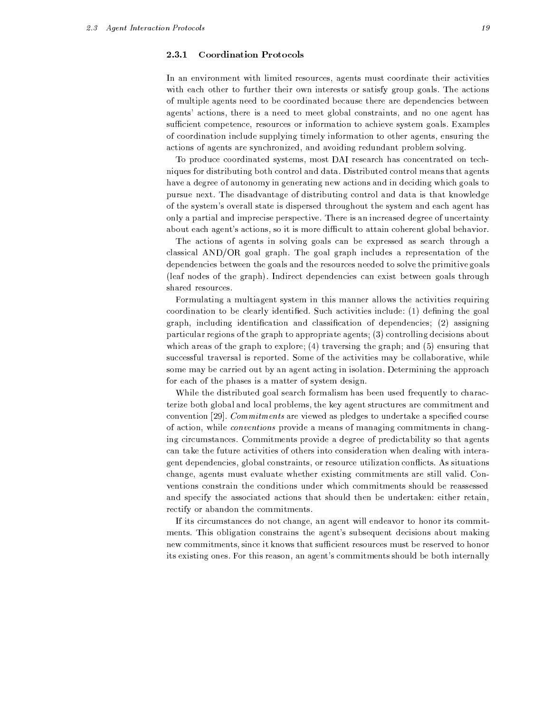### 2.3.1 **Coordination Protocols**

In an environment with limited resources, agents must coordinate their activities with each other to further their own interests or satisfy group goals. The actions of multiple agents need to be coordinated because there are dependencies between agents' actions, there is a need to meet global constraints, and no one agent has sufficient competence, resources or information to achieve system goals. Examples of coordination include supplying timely information to other agents, ensuring the actions of agents are synchronized, and avoiding redundant problem solving.

To produce coordinated systems, most DAI research has concentrated on techniques for distributing both control and data. Distributed control means that agents have a degree of autonomy in generating new actions and in deciding which goals to pursue next. The disadvantage of distributing control and data is that knowledge of the system's overall state is dispersed throughout the system and each agent has only a partial and imprecise perspective. There is an increased degree of uncertainty about each agent's actions, so it is more difficult to attain coherent global behavior.

The actions of agents in solving goals can be expressed as search through a classical AND/OR goal graph. The goal graph includes a representation of the dependencies between the goals and the resources needed to solve the primitive goals (leaf nodes of the graph). Indirect dependencies can exist between goals through shared resources.

Formulating a multiagent system in this manner allows the activities requiring coordination to be clearly identified. Such activities include: (1) defining the goal graph, including identification and classification of dependencies; (2) assigning particular regions of the graph to appropriate agents; (3) controlling decisions about which areas of the graph to explore;  $(4)$  traversing the graph; and  $(5)$  ensuring that successful traversal is reported. Some of the activities may be collaborative, while some may be carried out by an agent acting in isolation. Determining the approach for each of the phases is a matter of system design.

While the distributed goal search formalism has been used frequently to characterize both global and local problems, the key agent structures are commitment and convention [29]. Commitments are viewed as pledges to undertake a specified course of action, while *conventions* provide a means of managing commitments in changing circumstances. Commitments provide a degree of predictability so that agents can take the future activities of others into consideration when dealing with interagent dependencies, global constraints, or resource utilization conflicts. As situations change, agents must evaluate whether existing commitments are still valid. Conventions constrain the conditions under which commitments should be reassessed and specify the associated actions that should then be undertaken: either retain, rectify or abandon the commitments.

If its circumstances do not change, an agent will endeavor to honor its commitments. This obligation constrains the agent's subsequent decisions about making new commitments, since it knows that sufficient resources must be reserved to honor its existing ones. For this reason, an agent's commitments should be both internally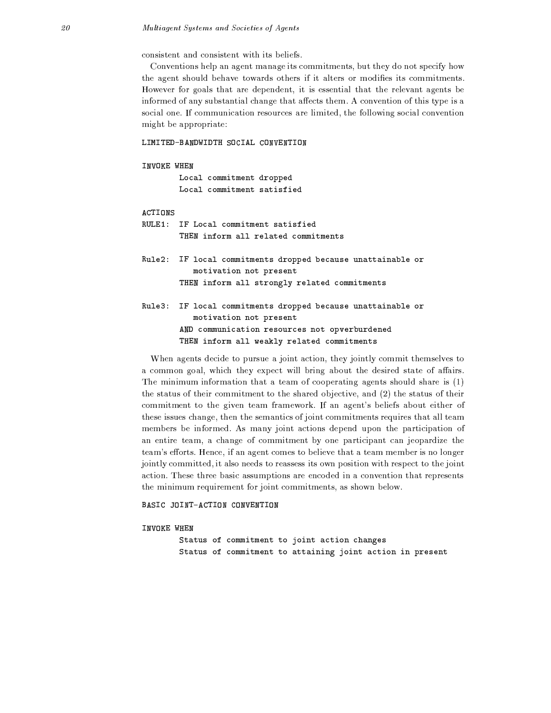consistent and consistent with its beliefs.

Conventions help an agent manage its commitments, but they do not specify how the agent should behave towards others if it alters or modifies its commitments. However for goals that are dependent, it is essential that the relevant agents be informed of any substantial change that affects them. A convention of this type is a social one. If communication resources are limited, the following social convention might be appropriate:

### LIMITED-BANDWIDTH SOCIAL CONVENTION

```
INVOKE WHEN
       Local commitment dropped
       Local commitment satisfied
ACTIONS
RULE1: IF Local commitment satisfied
       THEN inform all related commitments
Rule2:
       IF local commitments dropped because unattainable or
           motivation not present
       THEN inform all strongly related commitments
Rule3:
       IF local commitments dropped because unattainable or
           motivation not present
       AND communication resources not opverburdened
       THEN inform all weakly related commitments
```
When agents decide to pursue a joint action, they jointly commit themselves to a common goal, which they expect will bring about the desired state of affairs. The minimum information that a team of cooperating agents should share is (1) the status of their commitment to the shared objective, and (2) the status of their commitment to the given team framework. If an agent's beliefs about either of these issues change, then the semantics of joint commitments requires that all team members be informed. As many joint actions depend upon the participation of an entire team, a change of commitment by one participant can jeopardize the team's efforts. Hence, if an agent comes to believe that a team member is no longer jointly committed, it also needs to reassess its own position with respect to the joint action. These three basic assumptions are encoded in a convention that represents the minimum requirement for joint commitments, as shown below.

## BASIC JOINT-ACTION CONVENTION

INVOKE WHEN

Status of commitment to joint action changes Status of commitment to attaining joint action in present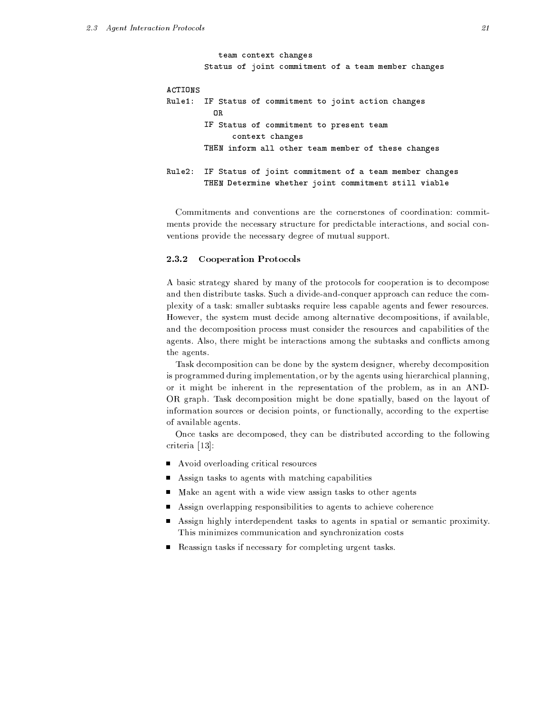team context changes Status of joint commitment of a team member changes ACTIONS Rule1: IF Status of commitment to joint action changes **OR** IF Status of commitment to present team context changes THEN inform all other team member of these changes Rule2: IF Status of joint commitment of a team member changes THEN Determine whether joint commitment still viable

Commitments and conventions are the cornerstones of coordination: commitments provide the necessary structure for predictable interactions, and social conventions provide the necessary degree of mutual support.

#### 2.3.2 **Cooperation Protocols**

A basic strategy shared by many of the protocols for cooperation is to decompose and then distribute tasks. Such a divide-and-conquer approach can reduce the complexity of a task: smaller subtasks require less capable agents and fewer resources. However, the system must decide among alternative decompositions, if available, and the decomposition process must consider the resources and capabilities of the agents. Also, there might be interactions among the subtasks and conflicts among the agents.

Task decomposition can be done by the system designer, whereby decomposition is programmed during implementation, or by the agents using hierarchical planning, or it might be inherent in the representation of the problem, as in an AND-OR graph. Task decomposition might be done spatially, based on the layout of information sources or decision points, or functionally, according to the expertise of available agents.

Once tasks are decomposed, they can be distributed according to the following criteria [13]:

- Avoid overloading critical resources
- Assign tasks to agents with matching capabilities
- Make an agent with a wide view assign tasks to other agents  $\blacksquare$
- Assign overlapping responsibilities to agents to achieve coherence
- Assign highly interdependent tasks to agents in spatial or semantic proximity. This minimizes communication and synchronization costs
- Reassign tasks if necessary for completing urgent tasks.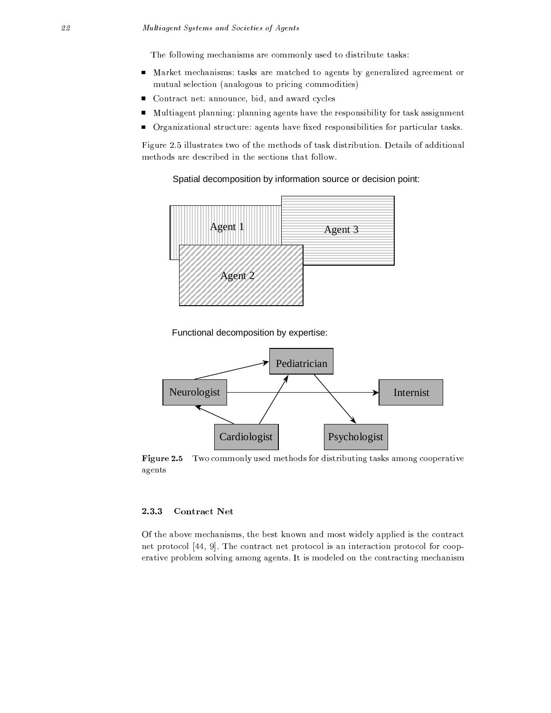The following mechanisms are commonly used to distribute tasks:

- In Market mechanisms: tasks are matched to agents by generalized agreement or mutual selection (analogous to pricing commodities)
- Contract net: announce, bid, and award cycles
- Multiagent planning: planning agents have the responsibility for task assignment  $\blacksquare$
- Organizational structure: agents have fixed responsibilities for particular tasks.

Figure 2.5 illustrates two of the methods of task distribution. Details of additional methods are described in the sections that follow.

Spatial decomposition by information source or decision point:



Functional decomposition by expertise:



**Figure 2.5** Two commonly used methods for distributing tasks among cooperative agents

### 2.3.3 **Contract Net**

Of the above mechanisms, the best known and most widely applied is the contract net protocol [44, 9]. The contract net protocol is an interaction protocol for cooperative problem solving among agents. It is modeled on the contracting mechanism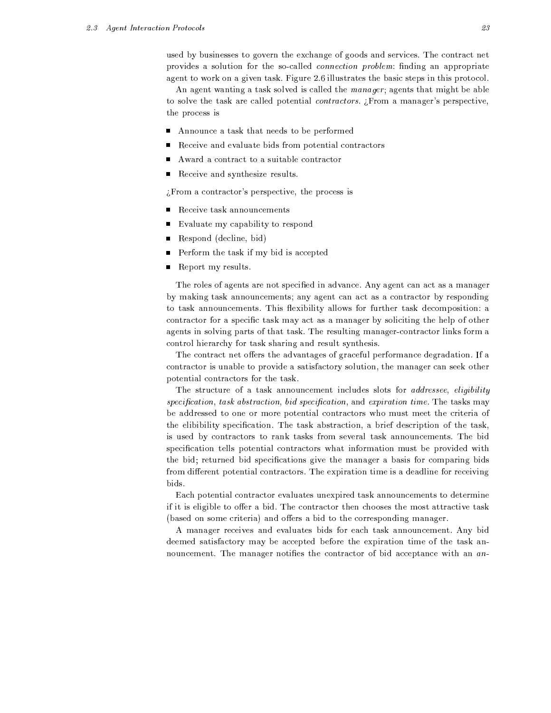#### **Agent Interaction Protocols**  $2.3$

used by businesses to govern the exchange of goods and services. The contract net provides a solution for the so-called *connection problem*: finding an appropriate agent to work on a given task. Figure 2.6 illustrates the basic steps in this protocol.

An agent wanting a task solved is called the *manager*; agents that might be able to solve the task are called potential *contractors.* From a manager's perspective, the process is

- Announce a task that needs to be performed
- Receive and evaluate bids from potential contractors
- Award a contract to a suitable contractor
- Receive and synthesize results.

 $i$ . From a contractor's perspective, the process is

- Receive task announcements
- Evaluate my capability to respond
- Respond (decline, bid)
- Perform the task if my bid is accepted
- Report my results.

The roles of agents are not specified in advance. Any agent can act as a manager by making task announcements; any agent can act as a contractor by responding to task announcements. This flexibility allows for further task decomposition: a contractor for a specific task may act as a manager by soliciting the help of other agents in solving parts of that task. The resulting manager-contractor links form a control hierarchy for task sharing and result synthesis.

The contract net offers the advantages of graceful performance degradation. If a contractor is unable to provide a satisfactory solution, the manager can seek other potential contractors for the task.

The structure of a task announcement includes slots for *addressee*, *eligibility* specification, task abstraction, bid specification, and expiration time. The tasks may be addressed to one or more potential contractors who must meet the criteria of the elibibility specification. The task abstraction, a brief description of the task, is used by contractors to rank tasks from several task announcements. The bid specification tells potential contractors what information must be provided with the bid; returned bid specifications give the manager a basis for comparing bids from different potential contractors. The expiration time is a deadline for receiving bids.

Each potential contractor evaluates unexpired task announcements to determine if it is eligible to offer a bid. The contractor then chooses the most attractive task (based on some criteria) and offers a bid to the corresponding manager.

A manager receives and evaluates bids for each task announcement. Any bid deemed satisfactory may be accepted before the expiration time of the task announcement. The manager notifies the contractor of bid acceptance with an an-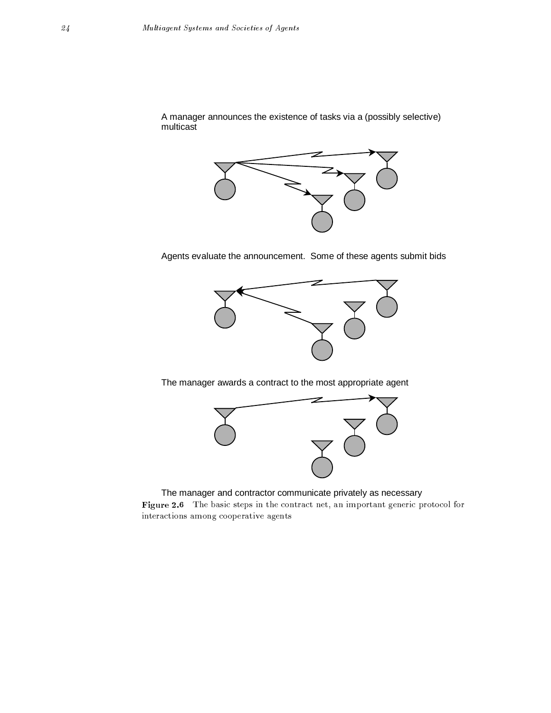A manager announces the existence of tasks via a (possibly selective) multicast



Agents evaluate the announcement. Some of these agents submit bids



The manager awards a contract to the most appropriate agent



The manager and contractor communicate privately as necessary was another than the contract of the contract of the contract of the contract of the contract of the contract of the contract of the contract of the contract of the contract of the contract of the contract of the contract noop as a set of the contract of the contract of the contract of the contract of the contract of the contract of the contract of the contract of the contract of the contract of the contract of the contract of the contract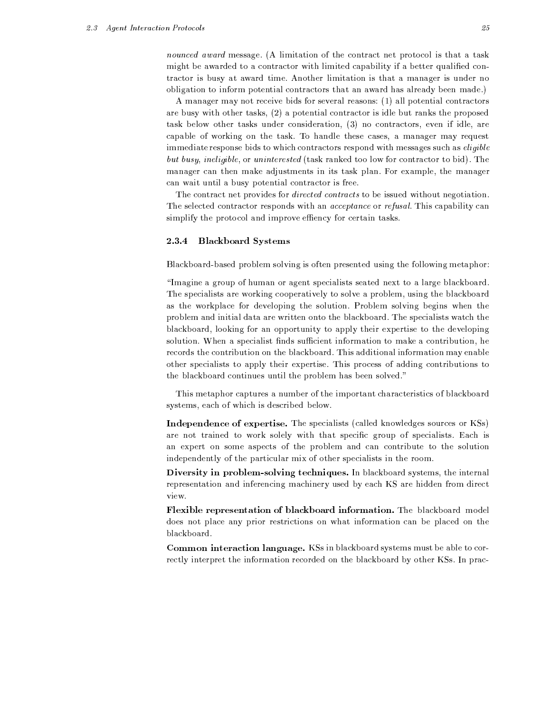nounced award message. (A limitation of the contract net protocol is that a task might be awarded to a contractor with limited capability if a better qualified contractor is busy at award time. Another limitation is that a manager is under no obligation to inform potential contractors that an award has already been made.)

A manager may not receive bids for several reasons: (1) all potential contractors are busy with other tasks, (2) a potential contractor is idle but ranks the proposed task below other tasks under consideration, (3) no contractors, even if idle, are capable of working on the task. To handle these cases, a manager may request immediate response bids to which contractors respond with messages such as *eligible* but busy, ineligible, or uninterested (task ranked too low for contractor to bid). The manager can then make adjustments in its task plan. For example, the manager can wait until a busy potential contractor is free.

The contract net provides for *directed contracts* to be issued without negotiation. The selected contractor responds with an *acceptance* or *refusal*. This capability can simplify the protocol and improve effiency for certain tasks.

#### 2.3.4 **Blackboard Systems**

Blackboard-based problem solving is often presented using the following metaphor:

"Imagine a group of human or agent specialists seated next to a large blackboard. The specialists are working cooperatively to solve a problem, using the blackboard as the workplace for developing the solution. Problem solving begins when the problem and initial data are written onto the blackboard. The specialists watch the blackboard, looking for an opportunity to apply their expertise to the developing solution. When a specialist finds sufficient information to make a contribution, he records the contribution on the blackboard. This additional information may enable other specialists to apply their expertise. This process of adding contributions to the blackboard continues until the problem has been solved."

This metaphor captures a number of the important characteristics of blackboard systems, each of which is described below.

Independence of expertise. The specialists (called knowledges sources or KSs) are not trained to work solely with that specific group of specialists. Each is an expert on some aspects of the problem and can contribute to the solution independently of the particular mix of other specialists in the room.

Diversity in problem-solving techniques. In blackboard systems, the internal representation and inferencing machinery used by each KS are hidden from direct view.

Flexible representation of blackboard information. The blackboard model does not place any prior restrictions on what information can be placed on the blackboard.

**Common interaction language.** KSs in blackboard systems must be able to correctly interpret the information recorded on the blackboard by other KSs. In prac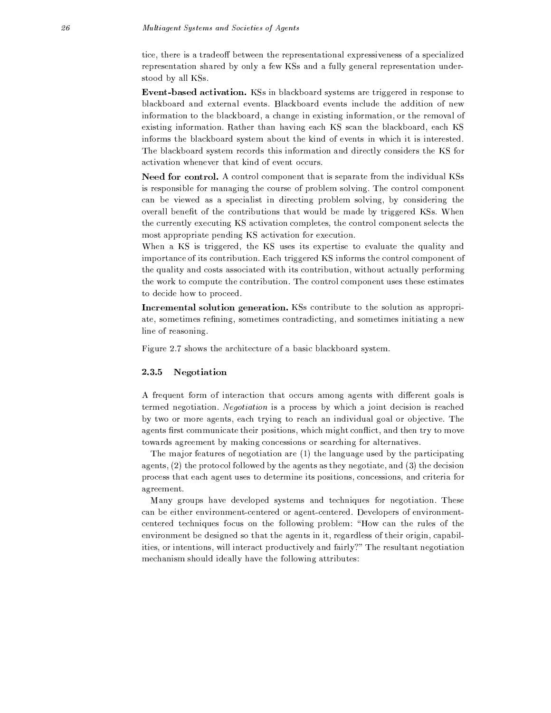tice, there is a tradeoff between the representational expressiveness of a specialized representation shared by only a few KSs and a fully general representation understood by all KSs.

**Event-based activation.** KSs in blackboard systems are triggered in response to blackboard and external events. Blackboard events include the addition of new information to the blackboard, a change in existing information, or the removal of existing information. Rather than having each KS scan the blackboard, each KS informs the blackboard system about the kind of events in which it is interested. The blackboard system records this information and directly considers the KS for activation whenever that kind of event occurs.

Need for control. A control component that is separate from the individual KSs is responsible for managing the course of problem solving. The control component can be viewed as a specialist in directing problem solving, by considering the overall benefit of the contributions that would be made by triggered KSs. When the currently executing KS activation completes, the control component selects the most appropriate pending KS activation for execution.

When a KS is triggered, the KS uses its expertise to evaluate the quality and importance of its contribution. Each triggered KS informs the control component of the quality and costs associated with its contribution, without actually performing the work to compute the contribution. The control component uses these estimates to decide how to proceed.

Incremental solution generation. KSs contribute to the solution as appropriate, sometimes refining, sometimes contradicting, and sometimes initiating a new line of reasoning.

Figure 2.7 shows the architecture of a basic blackboard system.

### 2.3.5 Negotiation

A frequent form of interaction that occurs among agents with different goals is termed negotiation. Negotiation is a process by which a joint decision is reached by two or more agents, each trying to reach an individual goal or objective. The agents first communicate their positions, which might conflict, and then try to move towards agreement by making concessions or searching for alternatives.

The major features of negotiation are (1) the language used by the participating agents,  $(2)$  the protocol followed by the agents as they negotiate, and  $(3)$  the decision process that each agent uses to determine its positions, concessions, and criteria for agreement.

Many groups have developed systems and techniques for negotiation. These can be either environment-centered or agent-centered. Developers of environmentcentered techniques focus on the following problem: "How can the rules of the environment be designed so that the agents in it, regardless of their origin, capabilities, or intentions, will interact productively and fairly?" The resultant negotiation mechanism should ideally have the following attributes: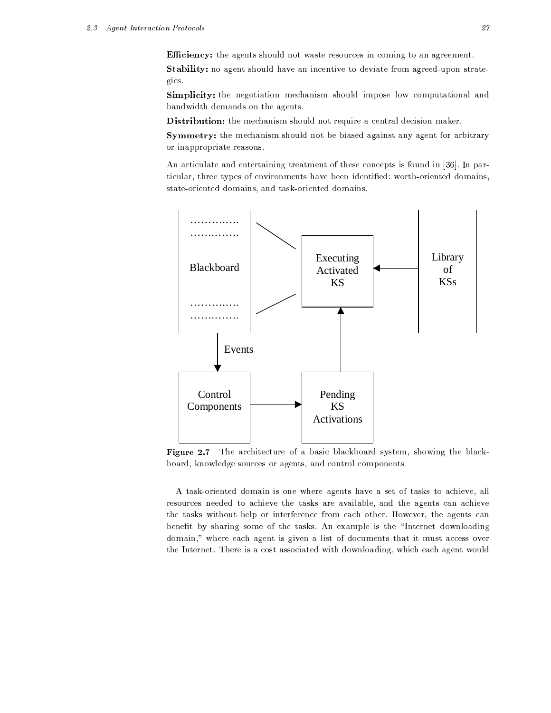**Efficiency:** the agents should not waste resources in coming to an agreement.

**Stability:** no agent should have an incentive to deviate from agreed-upon strategies.

**Simplicity:** the negotiation mechanism should impose low computational and bandwidth demands on the agents.

**Distribution:** the mechanism should not require a central decision maker.

Symmetry: the mechanism should not be biased against any agent for arbitrary or inappropriate reasons.

An articulate and entertaining treatment of these concepts is found in [36]. In particular, three types of environments have been identified: worth-oriented domains, state-oriented domains, and task-oriented domains.



**Figure 2.7** The architecture of a basic blackboard system, showing the blackboard, knowledge sources or agents, and control components

A task-oriented domain is one where agents have a set of tasks to achieve, all resources needed to achieve the tasks are available, and the agents can achieve the tasks without help or interference from each other. However, the agents can benefit by sharing some of the tasks. An example is the "Internet downloading domain," where each agent is given a list of documents that it must access over the Internet. There is a cost associated with downloading, which each agent would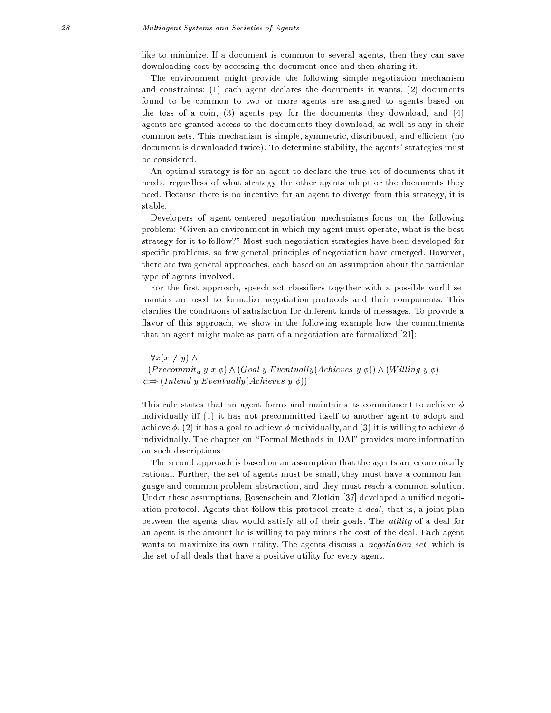like to minimize. If a document is common to several agents, then they can save downloading cost by accessing the document once and then sharing it.

The environment might provide the following simple negotiation mechanism and constraints: (1) each agent declares the documents it wants, (2) documents found to be common to two or more agents are assigned to agents based on the toss of a coin,  $(3)$  agents pay for the documents they download, and  $(4)$ agents are granted access to the documents they download, as well as any in their common sets. This mechanism is simple, symmetric, distributed, and efficient (no document is downloaded twice). To determine stability, the agents' strategies must be considered.

An optimal strategy is for an agent to declare the true set of documents that it needs, regardless of what strategy the other agents adopt or the documents they need. Because there is no incentive for an agent to diverge from this strategy, it is stable.

Developers of agent-centered negotiation mechanisms focus on the following problem: "Given an environment in which my agent must operate, what is the best strategy for it to follow?" Most such negotiation strategies have been developed for specific problems, so few general principles of negotiation have emerged. However, there are two general approaches, each based on an assumption about the particular type of agents involved.

For the first approach, speech-act classifiers together with a possible world semantics are used to formalize negotiation protocols and their components. This clarifies the conditions of satisfaction for different kinds of messages. To provide a flavor of this approach, we show in the following example how the commitments that an agent might make as part of a negotiation are formalized  $[21]$ :

 $\forall x (x \neq y) \land$  $\neg (Precommit_a y x \phi) \wedge (Goal y Eventually(Achieves y \phi)) \wedge (William y \phi)$  $\iff (Internal \, y \, Eventually (Achieves \, y \, \phi))$ 

This rule states that an agent forms and maintains its commitment to achieve  $\phi$ individually iff (1) it has not precommitted itself to another agent to adopt and achieve  $\phi$ , (2) it has a goal to achieve  $\phi$  individually, and (3) it is willing to achieve  $\phi$ individually. The chapter on "Formal Methods in DAI" provides more information on such descriptions.

The second approach is based on an assumption that the agents are economically rational. Further, the set of agents must be small, they must have a common language and common problem abstraction, and they must reach a common solution. Under these assumptions, Rosenschein and Zlotkin [37] developed a unified negotiation protocol. Agents that follow this protocol create a *deal*, that is, a joint plan between the agents that would satisfy all of their goals. The *utility* of a deal for an agent is the amount he is willing to pay minus the cost of the deal. Each agent wants to maximize its own utility. The agents discuss a *negotiation set*, which is the set of all deals that have a positive utility for every agent.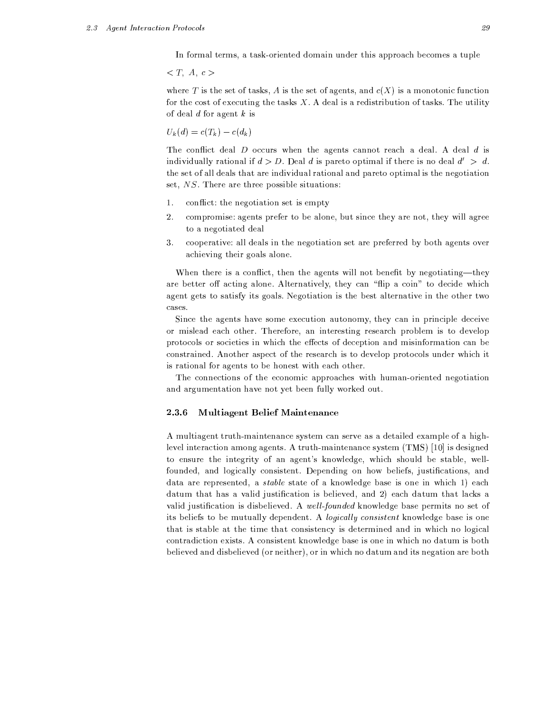In formal terms, a task-oriented domain under this approach becomes a tuple

 $\langle T, A, c \rangle$ 

where T is the set of tasks. A is the set of agents, and  $c(X)$  is a monotonic function for the cost of executing the tasks  $X$ . A deal is a redistribution of tasks. The utility of deal  $d$  for agent  $k$  is

$$
U_k(d) = c(T_k) - c(d_k)
$$

The conflict deal D occurs when the agents cannot reach a deal. A deal d is individually rational if  $d > D$ . Deal d is pareto optimal if there is no deal  $d' > d$ . the set of all deals that are individual rational and pareto optimal is the negotiation set, NS. There are three possible situations:

- conflict: the negotiation set is empty  $\mathbf{1}$
- $2.5$ compromise: agents prefer to be alone, but since they are not, they will agree to a negotiated deal
- cooperative: all deals in the negotiation set are preferred by both agents over 3. achieving their goals alone.

When there is a conflict, then the agents will not benefit by negotiating—they are better off acting alone. Alternatively, they can "flip a coin" to decide which agent gets to satisfy its goals. Negotiation is the best alternative in the other two cases.

Since the agents have some execution autonomy, they can in principle deceive or mislead each other. Therefore, an interesting research problem is to develop protocols or societies in which the effects of deception and misinformation can be constrained. Another aspect of the research is to develop protocols under which it is rational for agents to be honest with each other.

The connections of the economic approaches with human-oriented negotiation and argumentation have not yet been fully worked out.

### **Multiagent Belief Maintenance** 2.3.6

A multiagent truth-maintenance system can serve as a detailed example of a highlevel interaction among agents. A truth-maintenance system (TMS) [10] is designed to ensure the integrity of an agent's knowledge, which should be stable, wellfounded, and logically consistent. Depending on how beliefs, justifications, and data are represented, a *stable* state of a knowledge base is one in which 1) each datum that has a valid justification is believed, and 2) each datum that lacks a valid justification is disbelieved. A well-founded knowledge base permits no set of its beliefs to be mutually dependent. A *logically consistent* knowledge base is one that is stable at the time that consistency is determined and in which no logical contradiction exists. A consistent knowledge base is one in which no datum is both believed and disbelieved (or neither), or in which no datum and its negation are both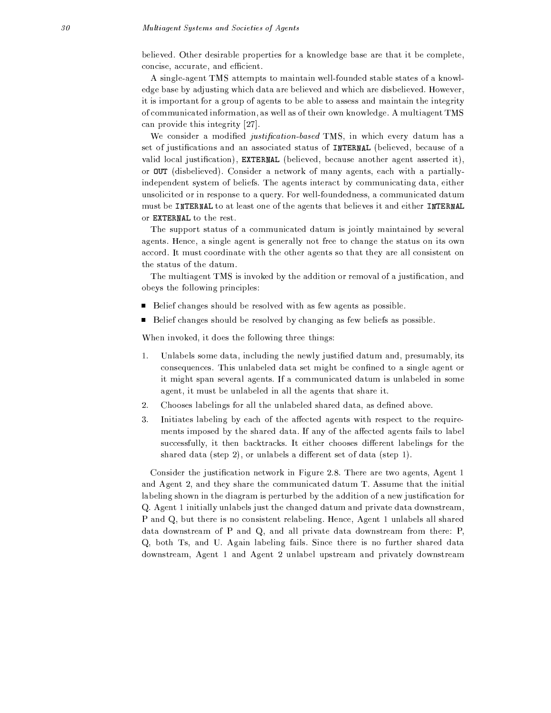believed. Other desirable properties for a knowledge base are that it be complete, concise, accurate, and efficient.

A single-agent TMS attempts to maintain well-founded stable states of a knowledge base by adjusting which data are believed and which are disbelieved. However, it is important for a group of agents to be able to assess and maintain the integrity of communicated information, as well as of their own knowledge. A multiagent TMS can provide this integrity [27].

We consider a modified justification-based TMS, in which every datum has a set of justifications and an associated status of INTERNAL (believed, because of a valid local justification), EXTERNAL (believed, because another agent asserted it). or **OUT** (disbelieved). Consider a network of many agents, each with a partiallyindependent system of beliefs. The agents interact by communicating data, either unsolicited or in response to a query. For well-foundedness, a communicated datum must be INTERNAL to at least one of the agents that believes it and either INTERNAL or EXTERNAL to the rest.

The support status of a communicated datum is jointly maintained by several agents. Hence, a single agent is generally not free to change the status on its own accord. It must coordinate with the other agents so that they are all consistent on the status of the datum.

The multiagent TMS is invoked by the addition or removal of a justification, and obeys the following principles:

- Belief changes should be resolved with as few agents as possible.
- Belief changes should be resolved by changing as few beliefs as possible.

When invoked, it does the following three things:

- Unlabels some data, including the newly justified datum and, presumably, its  $1.$ consequences. This unlabeled data set might be confined to a single agent or it might span several agents. If a communicated datum is unlabeled in some agent, it must be unlabeled in all the agents that share it.
- $\overline{2}$ . Chooses labelings for all the unlabeled shared data, as defined above.
- Initiates labeling by each of the affected agents with respect to the require-3. ments imposed by the shared data. If any of the affected agents fails to label successfully, it then backtracks. It either chooses different labelings for the shared data (step 2), or unlabels a different set of data (step 1).

Consider the justification network in Figure 2.8. There are two agents, Agent 1 and Agent 2, and they share the communicated datum T. Assume that the initial labeling shown in the diagram is perturbed by the addition of a new justification for Q. Agent 1 initially unlabels just the changed datum and private data downstream, P and Q, but there is no consistent relabeling. Hence, Agent 1 unlabels all shared data downstream of P and Q, and all private data downstream from there: P, Q, both Ts, and U. Again labeling fails. Since there is no further shared data downstream, Agent 1 and Agent 2 unlabel upstream and privately downstream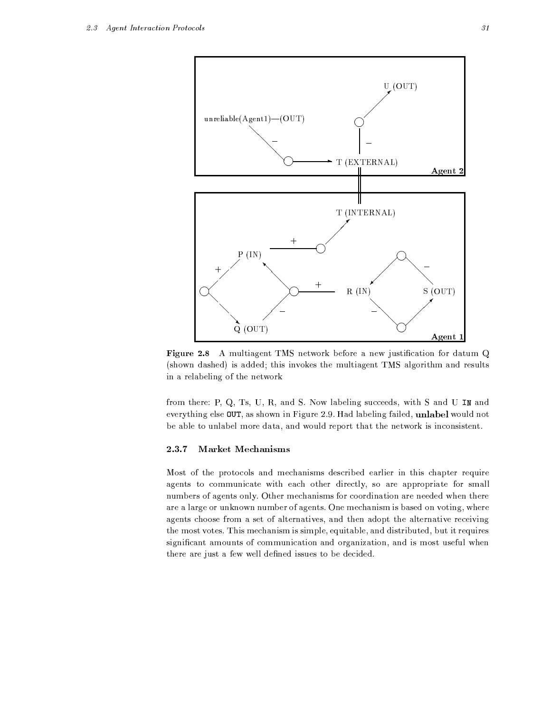

Figure 2.8 A multiagent TMS network before a new justification for datum Q (shown dashed) is added; this invokes the multiagent TMS algorithm and results in a relabeling of the network

from there: P, Q, Ts, U, R, and S. Now labeling succeeds, with S and U IN and everything else OUT, as shown in Figure 2.9. Had labeling failed, unlabel would not be able to unlabel more data, and would report that the network is inconsistent.

### 2.3.7 **Market Mechanisms**

Most of the protocols and mechanisms described earlier in this chapter require agents to communicate with each other directly, so are appropriate for small numbers of agents only. Other mechanisms for coordination are needed when there are a large or unknown number of agents. One mechanism is based on voting, where agents choose from a set of alternatives, and then adopt the alternative receiving the most votes. This mechanism is simple, equitable, and distributed, but it requires significant amounts of communication and organization, and is most useful when there are just a few well defined issues to be decided.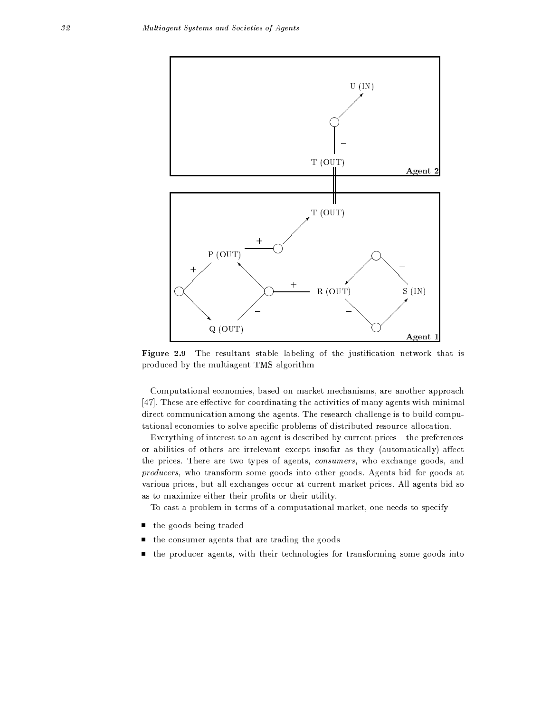

Figure 2.9 The resultant stable labeling of the justification network that is produced by the multiagent TMS algorithm

Computational economies, based on market mechanisms, are another approach [47]. These are effective for coordinating the activities of many agents with minimal direct communication among the agents. The research challenge is to build computational economies to solve specific problems of distributed resource allocation.

Everything of interest to an agent is described by current prices—the preferences or abilities of others are irrelevant except insofar as they (automatically) affect the prices. There are two types of agents, consumers, who exchange goods, and *producers*, who transform some goods into other goods. Agents bid for goods at various prices, but all exchanges occur at current market prices. All agents bid so as to maximize either their profits or their utility.

To cast a problem in terms of a computational market, one needs to specify

- $\blacksquare$  the goods being traded
- the consumer agents that are trading the goods
- the producer agents, with their technologies for transforming some goods into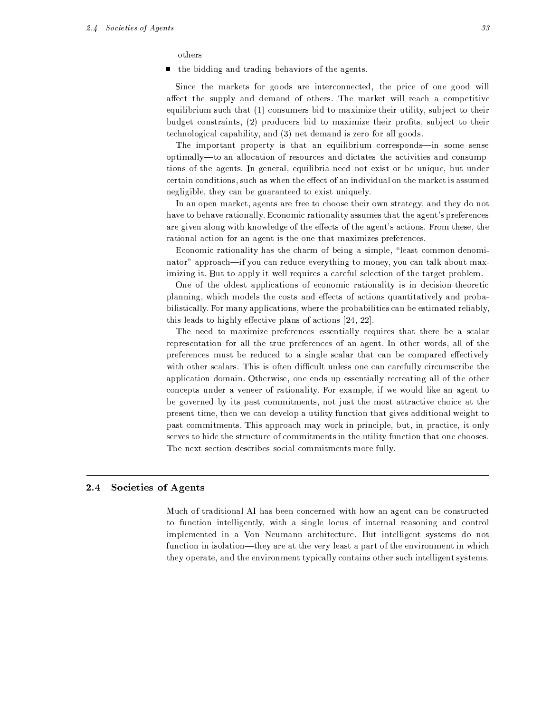$others$ 

no. Pharmaca nocepha and the contract of the contract of the contract of the contract of the contract of the c

 $\alpha$  cf  $\alpha$  cf  $\alpha$  cf  $\alpha$  cf  $\alpha$  cf  $\alpha$  in  $\alpha$  is a cf  $\alpha$  in  $\alpha$  in  $\alpha$  $g\in\mathbb{R}^d$ equilibrium such that (1) consumers bid to maximize their utility, subject to their budget constraints, (2) producers bid to maximize their profits, subject to their  $\ell=2$  and  $\ell=2$  and  $\ell=2$  and  $\ell=2$  and  $\ell=2$  and  $\ell=2$ 

waxaa boof decepharaa boof decepharaa boof decepharaa boof decepharaa boof decepharaa boof decepharaa boof decepharaa boof decepharaa boof decepharaa boof decepharaa boof decepharaa boof decepharaa boof decepharaa boof de component contains a set of a containing  $\alpha$  and a contained by 2 km2 and 2 km2 as a contact of a contact of a  $\bar{P}_-$  and  $\bar{P}_-$  sface  $\bar{P}_-$  and  $\bar{P}_-$  are the contoned of  $\bar{P}_$ certain conditions, such as when the effect of an individual on the market is assumed negligible, they can be guaranteed to exist uniquely.

 $j$ gbia $B$ filiang bagbagbag bagbagbag bagbagbag bagbag bagbag bagbag bagbag bagbag bagbag bagbag bagbag bagbag bag  $\alpha$  and  $\alpha$  contributions are equal on  $\alpha$  and  $\alpha$  are equal baiab2q. The equal on  $\alpha$  $\blacksquare$ rational action for an agent is the one that maximizes preferences.

 $\overline{\phantom{a}}$  in the state canonical capacity canonical capacity control  $\overline{\phantom{a}}$ nator" approach—if you can reduce everything to money, you can talk about maxnot in the sage of the sage of the sage of the sage of the sage of the sage of the sage of the sage of the sag

 $\overline{\phantom{a}}$  and  $\overline{\phantom{a}}$ d2^Ana $\Delta$ ka $\Delta$ ka $\Delta$ ka $\Delta$ kd2fbcP} $\Delta$ kd2fbcP}  $\overline{z}$  , and  $\overline{z}$  increases and  $\overline{z}$  and  $\overline{z}$  are  $\overline{z}$  and  $\overline{z}$ `bw2noa{o]zgk2a`bcw2no[Pw2{oy]hG]sx\_`bnot];d2{gB^2ac7gBxs`bnoc^2a DF,A2u ,>,;Ib

 $\overline{\phantom{a}}$  and  $\overline{\phantom{a}}$  are the set of  $\overline{\phantom{a}}$  and  $\overline{\phantom{a}}$  are the set of  $\overline{\phantom{a}}$  $f$  and the computation computation contains  $\alpha$  contains  $\alpha$  coing  $\alpha$  coinverse  $\alpha$ .uight  $\alpha$ d2fb]]\_fb]s^2x\_]\_a\$qAab`}~]\$fb]sk22x\_]\_k `bcgabno^2[{o]"abxzg{ gfr`iwegB`x.gB^?}e]|x\_cPq!degfb]\_k ]h]\_x\_`bnotP]\_{oy with other scalars. This is often difficult unless one can carefully circumscribe the  $\mathcal{L}^2$  is a component of the control  $\mathcal{L}^2$  and  $\mathcal{L}^2$  are controlled by  $\mathcal{L}^2$  $x^2$  iar2^ak2]  $x^2$  are achieved by  $x^2$  and  $y^2$  and  $y^2$  and  $y^2$  and  $y^2$  becomes a point  $x^2$  $\mathcal{C}_\mathbf{p}$ sk $\mathcal{C}_\mathbf{p}$ abigab $\mathcal{C}_\mathbf{p}$ q abigab $\mathcal{C}_\mathbf{p}$ q abigab $\mathcal{C}_\mathbf{p}$ present time, then we can develop a utility function that gives additional weight to past commitments. This approach may work in principle, but, in practice, it only abcw $2n$ aibfb $\alpha$ aibfb $\alpha$ aibfbaxano` $\alpha$ iaeno` $\alpha$ iweg $\alpha$ was and the contract of the contract of the contract of the contract of the contract of the contract of the contract of the contract of the contract of the contract of the contract of the contract of the contract of the c

### JIK -0T7WAX~QX T -ORQ

Much of traditional AI has been concerned with how an agent can be constructed  $\blacksquare$ noque a babya babya babya babya babya babya babya babya babya babya babya babya babya babya babya babya babya function in isolation—they are at the very least a part of the environment in which  $\mathcal{L}$  the normal dependence of our deformation  $\mathcal{L}$  and  $\mathcal{L}$  and  $\mathcal{L}$  and  $\mathcal{L}$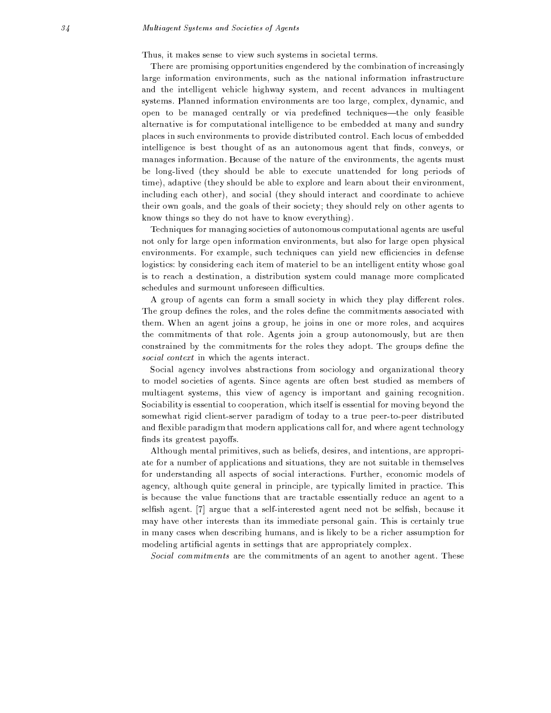Thus, it makes sense to view such systems in societal terms.

There are promising opportunities engendered by the combination of increasingly large information environments, such as the national information infrastructure and the intelligent vehicle highway system, and recent advances in multiagent systems. Planned information environments are too large, complex, dynamic, and open to be managed centrally or via predefined techniques—the only feasible alternative is for computational intelligence to be embedded at many and sundry places in such environments to provide distributed control. Each locus of embedded intelligence is best thought of as an autonomous agent that finds, conveys, or manages information. Because of the nature of the environments, the agents must be long-lived (they should be able to execute unattended for long periods of time), adaptive (they should be able to explore and learn about their environment, including each other), and social (they should interact and coordinate to achieve their own goals, and the goals of their society; they should rely on other agents to know things so they do not have to know everything).

Techniques for managing societies of autonomous computational agents are useful not only for large open information environments, but also for large open physical environments. For example, such techniques can yield new efficiencies in defense logistics: by considering each item of material to be an intelligent entity whose goal is to reach a destination, a distribution system could manage more complicated schedules and surmount unforeseen difficulties.

A group of agents can form a small society in which they play different roles. The group defines the roles, and the roles define the commitments associated with them. When an agent joins a group, he joins in one or more roles, and acquires the commitments of that role. Agents join a group autonomously, but are then constrained by the commitments for the roles they adopt. The groups define the *social context* in which the agents interact.

Social agency involves abstractions from sociology and organizational theory to model societies of agents. Since agents are often best studied as members of multiagent systems, this view of agency is important and gaining recognition. Sociability is essential to cooperation, which itself is essential for moving beyond the somewhat rigid client-server paradigm of today to a true peer-to-peer distributed and flexible paradigm that modern applications call for, and where agent technology finds its greatest payoffs.

Although mental primitives, such as beliefs, desires, and intentions, are appropriate for a number of applications and situations, they are not suitable in themselves for understanding all aspects of social interactions. Further, economic models of agency, although quite general in principle, are typically limited in practice. This is because the value functions that are tractable essentially reduce an agent to a selfish agent. [7] argue that a self-interested agent need not be selfish, because it may have other interests than its immediate personal gain. This is certainly true in many cases when describing humans, and is likely to be a richer assumption for modeling artificial agents in settings that are appropriately complex.

*Social commitments* are the commitments of an agent to another agent. These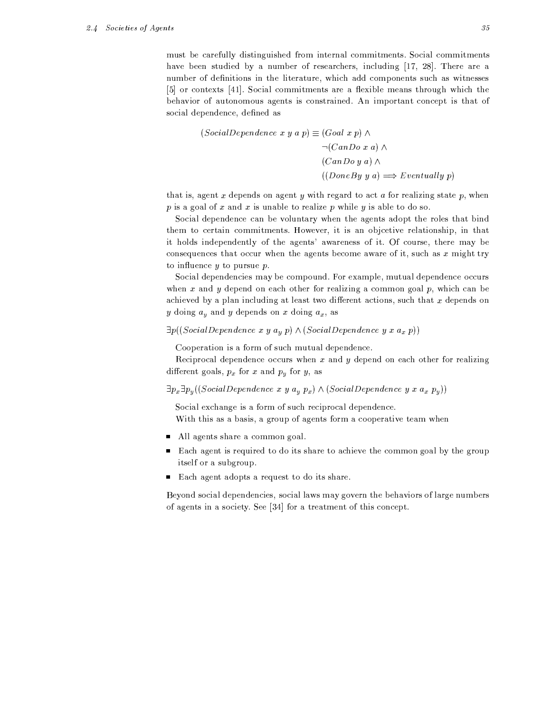### 2.4 Societies of Agents

must be carefully distinguished from internal commitments. Social commitments have been studied by a number of researchers, including [17, 28]. There are a number of definitions in the literature, which add components such as witnesses [5] or contexts [41]. Social commitments are a flexible means through which the behavior of autonomous agents is constrained. An important concept is that of social dependence, defined as

$$
(SocialDependence x y a p) \equiv (Goal x p) \land
$$
  
\n
$$
\neg (CanDo x a) \land
$$
  
\n
$$
(CanDo y a) \land
$$
  
\n
$$
((DonBy y a) \implies Eventually p)
$$

that is, agent x depends on agent y with regard to act  $a$  for realizing state  $p$ , when  $p$  is a goal of x and x is unable to realize p while y is able to do so.

Social dependence can be voluntary when the agents adopt the roles that bind them to certain commitments. However, it is an objective relationship, in that it holds independently of the agents' awareness of it. Of course, there may be consequences that occur when the agents become aware of it, such as x might try to influence  $y$  to pursue  $p$ .

Social dependencies may be compound. For example, mutual dependence occurs when x and y depend on each other for realizing a common goal p, which can be achieved by a plan including at least two different actions, such that x depends on y doing  $a_y$  and y depends on x doing  $a_x$ , as

### $\exists p((SocialDependence x y a_y p) \land (SocialDependence y x a_x p))$

Cooperation is a form of such mutual dependence.

Reciprocal dependence occurs when  $x$  and  $y$  depend on each other for realizing different goals,  $p_x$  for x and  $p_y$  for y, as

 $\exists p_x \exists p_y((SocialDependence x y a_y p_x) \wedge (SocialDependence y x a_x p_y))$ 

Social exchange is a form of such reciprocal dependence.

With this as a basis, a group of agents form a cooperative team when

- All agents share a common goal.
- Each agent is required to do its share to achieve the common goal by the group itself or a subgroup.
- Each agent adopts a request to do its share.

Beyond social dependencies, social laws may govern the behaviors of large numbers of agents in a society. See [34] for a treatment of this concept.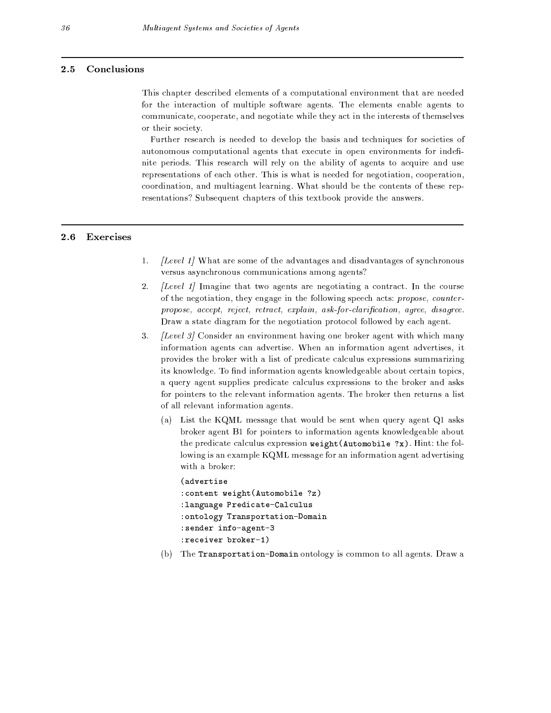### Conclusions 2.5

This chapter described elements of a computational environment that are needed for the interaction of multiple software agents. The elements enable agents to communicate, cooperate, and negotiate while they act in the interests of themselves or their society.

Further research is needed to develop the basis and techniques for societies of autonomous computational agents that execute in open environments for indefinite periods. This research will rely on the ability of agents to acquire and use representations of each other. This is what is needed for negotiation, cooperation, coordination, and multiagent learning. What should be the contents of these representations? Subsequent chapters of this textbook provide the answers.

### 2.6 Exercises

- $1.$ *Level 1]* What are some of the advantages and disadvantages of synchronous versus asynchronous communications among agents?
- $2<sup>1</sup>$ *[Level 1]* Imagine that two agents are negotiating a contract. In the course of the negotiation, they engage in the following speech acts: propose, counterpropose, accept, reject, retract, explain, ask-for-clarification, agree, disagree. Draw a state diagram for the negotiation protocol followed by each agent.
- 3. [Level 3] Consider an environment having one broker agent with which many information agents can advertise. When an information agent advertises, it provides the broker with a list of predicate calculus expressions summarizing its knowledge. To find information agents knowledgeable about certain topics, a query agent supplies predicate calculus expressions to the broker and asks for pointers to the relevant information agents. The broker then returns a list of all relevant information agents.
	- (a) List the KQML message that would be sent when query agent Q1 asks broker agent B1 for pointers to information agents knowledgeable about the predicate calculus expression weight (Automobile  $x$ ). Hint: the following is an example KQML message for an information agent advertising with a broker:

```
(advertise
:content weight(Automobile ?z)
:language Predicate-Calculus
:ontology Transportation-Domain
:sender info-agent-3
:receiver broker-1)
```
(b) The Transportation-Domain ontology is common to all agents. Draw a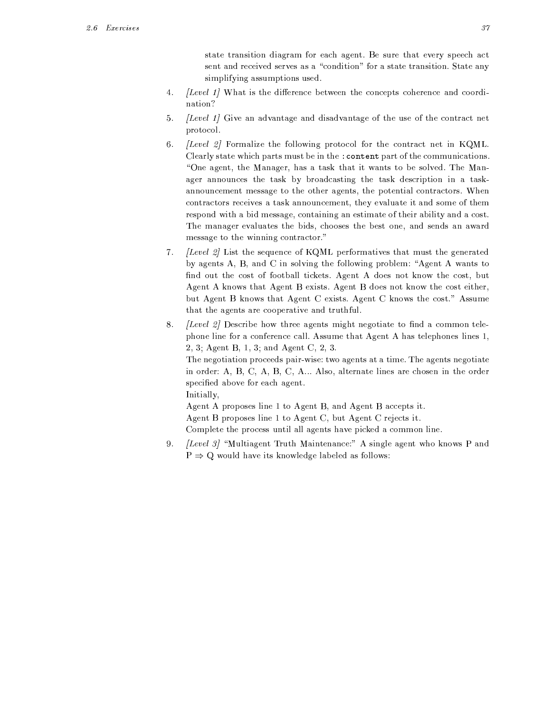state transition diagram for each agent. Be sure that every speech act sent and received serves as a "condition" for a state transition. State any simplifying assumptions used.

- [Level 1] What is the difference between the concepts coherence and coordi- $4.$ nation?
- *[Level 1]* Give an advantage and disadvantage of the use of the contract net 5. protocol.
- 6. *Level 2* Formalize the following protocol for the contract net in KQML. Clearly state which parts must be in the : content part of the communications. "One agent, the Manager, has a task that it wants to be solved. The Manager announces the task by broadcasting the task description in a taskannouncement message to the other agents, the potential contractors. When contractors receives a task announcement, they evaluate it and some of them respond with a bid message, containing an estimate of their ability and a cost. The manager evaluates the bids, chooses the best one, and sends an award message to the winning contractor."
- [Level 2] List the sequence of KQML performatives that must the generated 7. by agents A, B, and C in solving the following problem: "Agent A wants to find out the cost of football tickets. Agent A does not know the cost, but Agent A knows that Agent B exists. Agent B does not know the cost either, but Agent B knows that Agent C exists. Agent C knows the cost." Assume that the agents are cooperative and truthful.
- 8. *[Level 2]* Describe how three agents might negotiate to find a common telephone line for a conference call. Assume that Agent A has telephones lines 1, 2, 3; Agent B, 1, 3; and Agent C, 2, 3. The negotiation proceeds pair-wise: two agents at a time. The agents negotiate

in order: A, B, C, A, B, C, A... Also, alternate lines are chosen in the order specified above for each agent.

Initially.

Agent A proposes line 1 to Agent B, and Agent B accepts it.

Agent B proposes line 1 to Agent C, but Agent C rejects it.

Complete the process until all agents have picked a common line.

*[Level 3]* "Multiagent Truth Maintenance:" A single agent who knows P and 9.  $P \Rightarrow Q$  would have its knowledge labeled as follows: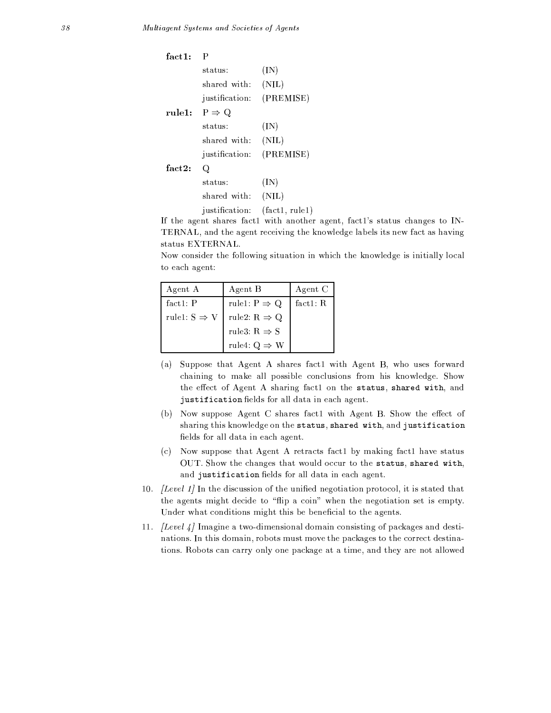$fact1:$  $\mathbf{P}$  $(IN)$ status: shared with:  $(NIL)$ (PREMISE) justification:  $rule1:1.1em \textbf{rule1:}$  $P \Rightarrow Q$ status:  $(IN)$ shared with:  $(NIL)$ justification: (PREMISE)  $fact 2:$  $\mathbf Q$  $(IN)$ status: shared with:  $(NIL)$  $(fact1, rule1)$ justification:

If the agent shares fact1 with another agent, fact1's status changes to IN-TERNAL, and the agent receiving the knowledge labels its new fact as having status EXTERNAL.

Now consider the following situation in which the knowledge is initially local to each agent:

| Agent A                  | Agent B                  | Agent C |
|--------------------------|--------------------------|---------|
| fact1: P                 | rule1: $P \Rightarrow Q$ | fact: R |
| rule1: $S \Rightarrow V$ | rule2: R $\Rightarrow$ Q |         |
|                          | rule3: $R \Rightarrow S$ |         |
|                          | rule4: $Q \Rightarrow W$ |         |

- (a) Suppose that Agent A shares fact1 with Agent B, who uses forward chaining to make all possible conclusions from his knowledge. Show the effect of Agent A sharing fact1 on the status, shared with, and justification fields for all data in each agent.
- (b) Now suppose Agent C shares fact1 with Agent B. Show the effect of sharing this knowledge on the status, shared with, and justification fields for all data in each agent.
- (c) Now suppose that Agent A retracts fact1 by making fact1 have status OUT. Show the changes that would occur to the status, shared with, and justification fields for all data in each agent.
- 10. *[Level 1]* In the discussion of the unified negotiation protocol, it is stated that the agents might decide to "flip a coin" when the negotiation set is empty. Under what conditions might this be beneficial to the agents.
- 11. *[Level 4]* Imagine a two-dimensional domain consisting of packages and destinations. In this domain, robots must move the packages to the correct destinations. Robots can carry only one package at a time, and they are not allowed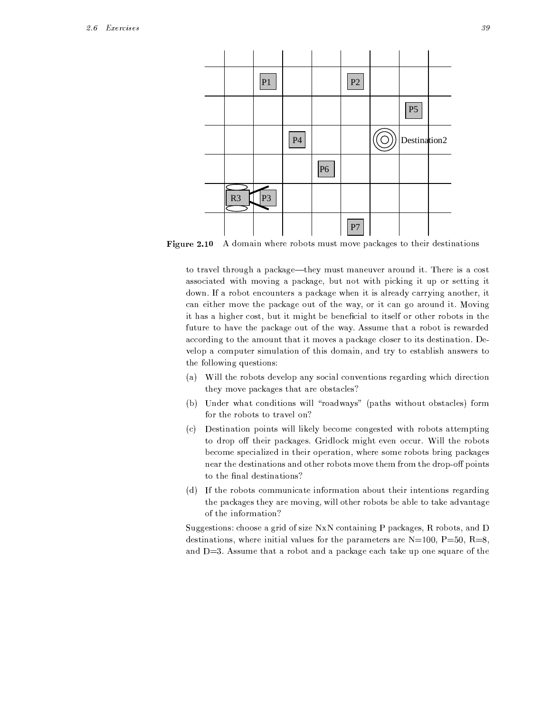

Figure 2.10 A domain where robots must move packages to their destinations

to travel through a package—they must maneuver around it. There is a cost associated with moving a package, but not with picking it up or setting it down. If a robot encounters a package when it is already carrying another, it can either move the package out of the way, or it can go around it. Moving it has a higher cost, but it might be beneficial to itself or other robots in the future to have the package out of the way. Assume that a robot is rewarded according to the amount that it moves a package closer to its destination. Develop a computer simulation of this domain, and try to establish answers to the following questions:

- (a) Will the robots develop any social conventions regarding which direction they move packages that are obstacles?
- (b) Under what conditions will "roadways" (paths without obstacles) form for the robots to travel on?
- Destination points will likely become congested with robots attempting  $(c)$ to drop off their packages. Gridlock might even occur. Will the robots become specialized in their operation, where some robots bring packages near the destinations and other robots move them from the drop-off points to the final destinations?
- (d) If the robots communicate information about their intentions regarding the packages they are moving, will other robots be able to take advantage of the information?

Suggestions: choose a grid of size NxN containing P packages, R robots, and D destinations, where initial values for the parameters are N=100, P=50, R=8, and  $D=3$ . Assume that a robot and a package each take up one square of the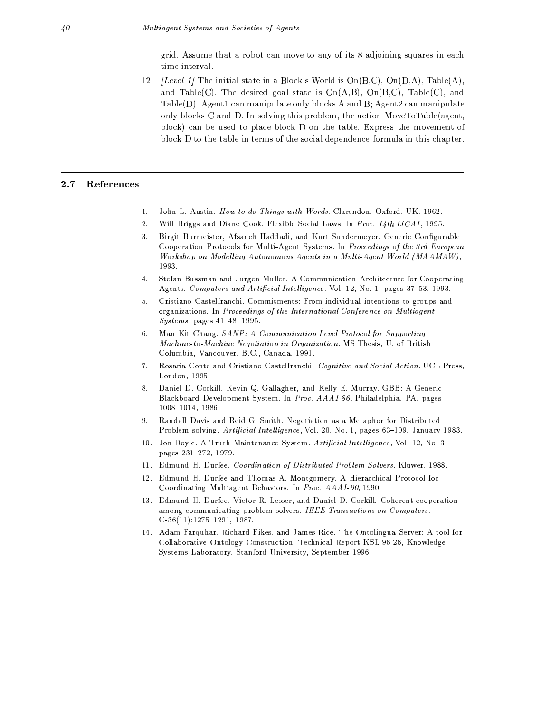grid. Assume that a robot can move to any of its 8 adjoining squares in each time interval.

12. *[Level 1]* The initial state in a Block's World is On $(B, C)$ , On $(D, A)$ , Table $(A)$ , and Table(C). The desired goal state is  $On(A,B)$ ,  $On(B,C)$ , Table(C), and Table(D). Agent1 can manipulate only blocks A and B; Agent2 can manipulate only blocks C and D. In solving this problem, the action MoveToTable(agent. block) can be used to place block D on the table. Express the movement of block D to the table in terms of the social dependence formula in this chapter.

### 2.7 References

- $\mathbf{1}$ John L. Austin. How to do Things with Words. Clarendon, Oxford, UK, 1962.
- $2. \,$ Will Briggs and Diane Cook. Flexible Social Laws. In Proc. 14th IJCAI, 1995.
- Birgit Burmeister, Afsaneh Haddadi, and Kurt Sundermeyer. Generic Configurable 3. Cooperation Protocols for Multi-Agent Systems. In Proceedings of the 3rd European Workshop on Modelling Autonomous Agents in a Multi-Agent World (MAAMAW), 1993.
- Stefan Bussman and Jurgen Muller. A Communication Architecture for Cooperating  $4.$ Agents. Computers and Artificial Intelligence, Vol. 12, No. 1, pages 37-53, 1993.
- Cristiano Castelfranchi. Commitments: From individual intentions to groups and  $5.$ organizations. In Proceedings of the International Conference on Multiagent  $Systems, pages 41-48, 1995.$
- Man Kit Chang. SANP: A Communication Level Protocol for Supporting 6. Machine-to-Machine Negotiation in Organization. MS Thesis, U. of British Columbia, Vancouver, B.C., Canada, 1991.
- Rosaria Conte and Cristiano Castelfranchi. Cognitive and Social Action. UCL Press,  $7.$ London, 1995.
- Daniel D. Corkill, Kevin Q. Gallagher, and Kelly E. Murray. GBB: A Generic 8. Blackboard Development System. In Proc. AAAI-86, Philadelphia, PA, pages 1008-1014, 1986.
- Randall Davis and Reid G. Smith. Negotiation as a Metaphor for Distributed 9. Problem solving. Artificial Intelligence, Vol. 20, No. 1, pages 63-109, January 1983.
- 10. Jon Doyle. A Truth Maintenance System. Artificial Intelligence, Vol. 12, No. 3, pages 231-272, 1979.
- 11. Edmund H. Durfee. Coordination of Distributed Problem Solvers. Kluwer, 1988.
- 12. Edmund H. Durfee and Thomas A. Montgomery. A Hierarchical Protocol for Coordinating Multiagent Behaviors. In Proc. AAAI 90, 1990.
- 13. Edmund H. Durfee, Victor R. Lesser, and Daniel D. Corkill. Coherent cooperation among communicating problem solvers. IEEE Transactions on Computers,  $C-36(11):1275-1291, 1987.$
- 14. Adam Farquhar, Richard Fikes, and James Rice. The Ontolingua Server: A tool for Collaborative Ontology Construction. Technical Report KSL-96-26, Knowledge Systems Laboratory, Stanford University, September 1996.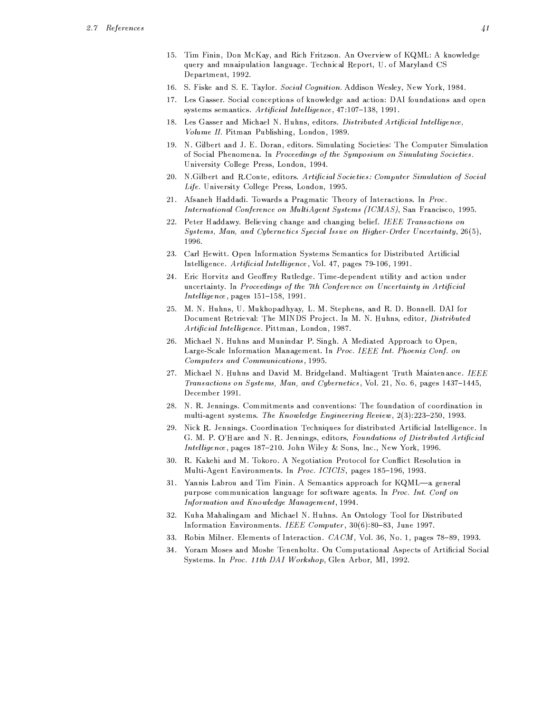- 15. Tim Finin, Don McKay, and Rich Fritzson. An Overview of KQML: A knowledge query and mnaipulation language. Technical Report, U. of Maryland CS Department, 1992.
- 16. S. Fiske and S. E. Taylor. Social Cognition. Addison Wesley, New York, 1984.
- 17. Les Gasser. Social conceptions of knowledge and action: DAI foundations and open systems semantics. Artificial Intelligence, 47:107-138, 1991.
- 18. Les Gasser and Michael N. Huhns, editors. Distributed Artificial Intelligence, Volume II. Pitman Publishing, London, 1989.
- 19. N. Gilbert and J. E. Doran, editors. Simulating Societies: The Computer Simulation of Social Phenomena. In Proceedings of the Symposium on Simulating Societies. University College Press, London, 1994.
- 20. N. Gilbert and R. Conte, editors. Artificial Societies: Computer Simulation of Social Life. University College Press, London, 1995.
- Afsaneh Haddadi. Towards a Pragmatic Theory of Interactions. In Proc.  $21.$ International Conference on MultiAgent Systems (ICMAS), San Francisco, 1995.
- 22. Peter Haddawy. Believing change and changing belief. IEEE Transactions on Systems, Man, and Cybernetics Special Issue on Higher-Order Uncertainty, 26(5), 1996.
- 23. Carl Hewitt. Open Information Systems Semantics for Distributed Artificial Intelligence. Artificial Intelligence, Vol. 47, pages 79-106, 1991.
- 24. Eric Horvitz and Geoffrey Rutledge. Time-dependent utility and action under uncertainty. In Proceedings of the 7th Conference on Uncertainty in Artificial Intelligence, pages 151-158, 1991.
- 25. M. N. Huhns, U. Mukhopadhyay, L. M. Stephens, and R. D. Bonnell. DAI for Document Retrieval: The MINDS Project. In M. N. Huhns, editor, Distributed Artificial Intelligence. Pittman, London, 1987.
- Michael N. Huhns and Munindar P. Singh. A Mediated Approach to Open, 26. Large-Scale Information Management. In Proc. IEEE Int. Phoenix Conf. on Computers and Communications, 1995.
- 27. Michael N. Huhns and David M. Bridgeland. Multiagent Truth Maintenance. IEEE Transactions on Systems, Man, and Cybernetics, Vol. 21, No. 6, pages 1437-1445, December 1991.
- 28. N. R. Jennings. Commitments and conventions: The foundation of coordination in multi-agent systems. The Knowledge Engineering Review, 2(3):223-250, 1993.
- Nick R. Jennings. Coordination Techniques for distributed Artificial Intelligence. In 29. G. M. P. O'Hare and N. R. Jennings, editors, Foundations of Distributed Artificial Intelligence, pages 187-210. John Wiley & Sons, Inc., New York, 1996.
- 30. R. Kakehi and M. Tokoro. A Negotiation Protocol for Conflict Resolution in Multi-Agent Environments. In Proc. ICICIS, pages 185-196, 1993.
- 31. Yannis Labrou and Tim Finin. A Semantics approach for KQML—a general purpose communication language for software agents. In Proc. Int. Conf on Information and Knowledge Management, 1994.
- 32. Kuha Mahalingam and Michael N. Huhns. An Ontology Tool for Distributed Information Environments. IEEE Computer, 30(6):80-83, June 1997.
- 33. Robin Milner. Elements of Interaction. CACM, Vol. 36, No. 1, pages 78-89, 1993.
- Yoram Moses and Moshe Tenenholtz. On Computational Aspects of Artificial Social 34. Systems. In Proc. 11th DAI Workshop, Glen Arbor, MI, 1992.